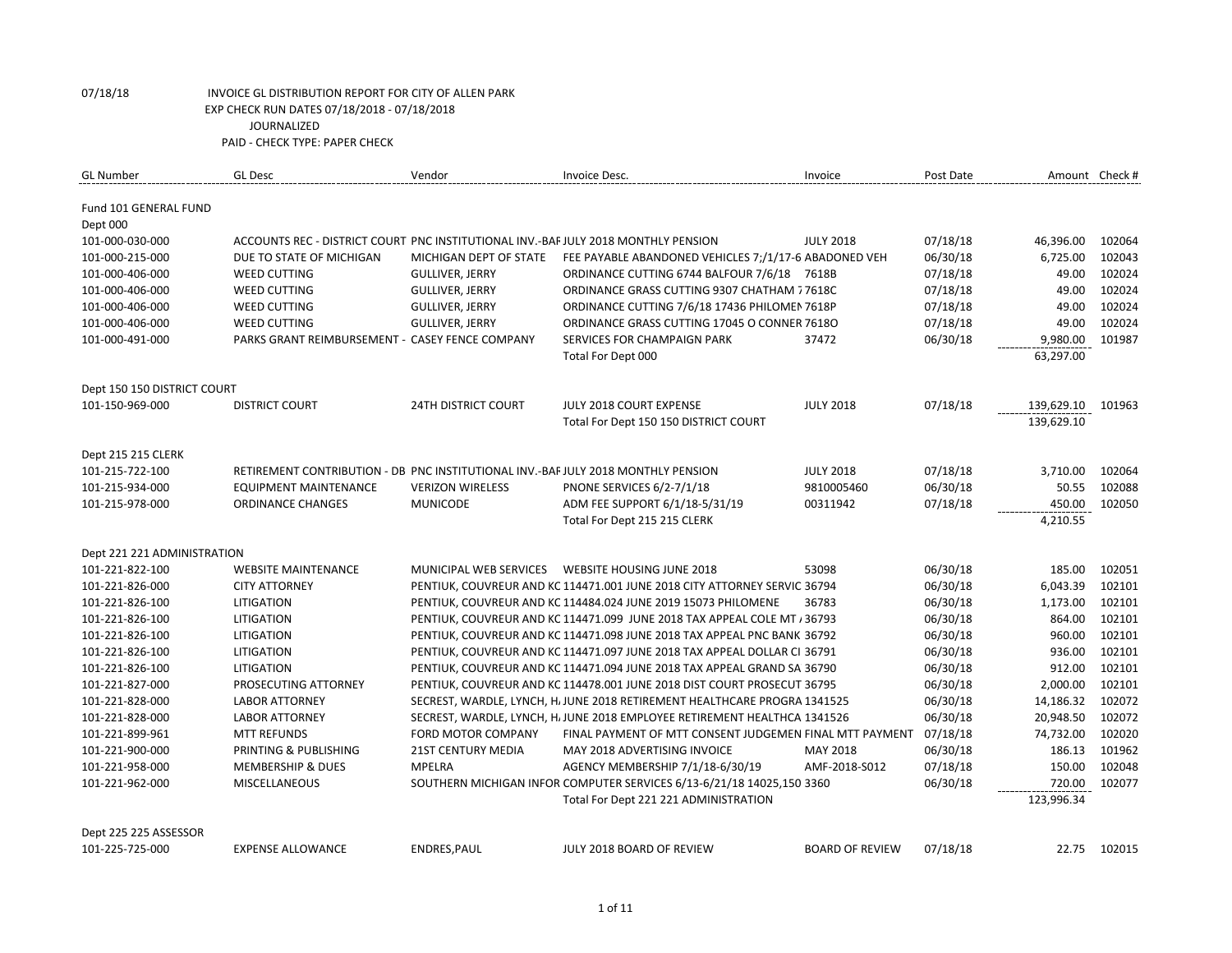| <b>GL Number</b>            | <b>GL Desc</b>                                                                     | Vendor                     | Invoice Desc.                                                             | Invoice                | Post Date |            | Amount Check # |
|-----------------------------|------------------------------------------------------------------------------------|----------------------------|---------------------------------------------------------------------------|------------------------|-----------|------------|----------------|
| Fund 101 GENERAL FUND       |                                                                                    |                            |                                                                           |                        |           |            |                |
| Dept 000                    |                                                                                    |                            |                                                                           |                        |           |            |                |
| 101-000-030-000             | ACCOUNTS REC - DISTRICT COURT PNC INSTITUTIONAL INV.-BAF JULY 2018 MONTHLY PENSION |                            |                                                                           | <b>JULY 2018</b>       | 07/18/18  | 46,396.00  | 102064         |
| 101-000-215-000             | DUE TO STATE OF MICHIGAN                                                           | MICHIGAN DEPT OF STATE     | FEE PAYABLE ABANDONED VEHICLES 7;/1/17-6 ABADONED VEH                     |                        | 06/30/18  | 6,725.00   | 102043         |
| 101-000-406-000             | <b>WEED CUTTING</b>                                                                | <b>GULLIVER, JERRY</b>     | ORDINANCE CUTTING 6744 BALFOUR 7/6/18 7618B                               |                        | 07/18/18  | 49.00      | 102024         |
| 101-000-406-000             | <b>WEED CUTTING</b>                                                                | <b>GULLIVER, JERRY</b>     | ORDINANCE GRASS CUTTING 9307 CHATHAM 7 7618C                              |                        | 07/18/18  | 49.00      | 102024         |
| 101-000-406-000             | <b>WEED CUTTING</b>                                                                | <b>GULLIVER, JERRY</b>     | ORDINANCE CUTTING 7/6/18 17436 PHILOMEN 7618P                             |                        | 07/18/18  | 49.00      | 102024         |
| 101-000-406-000             | <b>WEED CUTTING</b>                                                                | <b>GULLIVER, JERRY</b>     | ORDINANCE GRASS CUTTING 17045 O CONNER 7618O                              |                        | 07/18/18  | 49.00      | 102024         |
| 101-000-491-000             | PARKS GRANT REIMBURSEMENT - CASEY FENCE COMPANY                                    |                            | SERVICES FOR CHAMPAIGN PARK                                               | 37472                  | 06/30/18  | 9,980.00   | 101987         |
|                             |                                                                                    |                            | Total For Dept 000                                                        |                        |           | 63,297.00  |                |
| Dept 150 150 DISTRICT COURT |                                                                                    |                            |                                                                           |                        |           |            |                |
| 101-150-969-000             | <b>DISTRICT COURT</b>                                                              | <b>24TH DISTRICT COURT</b> | <b>JULY 2018 COURT EXPENSE</b>                                            | <b>JULY 2018</b>       | 07/18/18  | 139,629.10 | 101963         |
|                             |                                                                                    |                            | Total For Dept 150 150 DISTRICT COURT                                     |                        |           | 139,629.10 |                |
| Dept 215 215 CLERK          |                                                                                    |                            |                                                                           |                        |           |            |                |
| 101-215-722-100             | RETIREMENT CONTRIBUTION - DB PNC INSTITUTIONAL INV.-BAF JULY 2018 MONTHLY PENSION  |                            |                                                                           | <b>JULY 2018</b>       | 07/18/18  | 3,710.00   | 102064         |
| 101-215-934-000             | EQUIPMENT MAINTENANCE                                                              | <b>VERIZON WIRELESS</b>    | <b>PNONE SERVICES 6/2-7/1/18</b>                                          | 9810005460             | 06/30/18  | 50.55      | 102088         |
| 101-215-978-000             | <b>ORDINANCE CHANGES</b>                                                           | <b>MUNICODE</b>            | ADM FEE SUPPORT 6/1/18-5/31/19                                            | 00311942               | 07/18/18  | 450.00     | 102050         |
|                             |                                                                                    |                            | Total For Dept 215 215 CLERK                                              |                        |           | 4,210.55   |                |
|                             |                                                                                    |                            |                                                                           |                        |           |            |                |
| Dept 221 221 ADMINISTRATION |                                                                                    |                            |                                                                           |                        |           |            |                |
| 101-221-822-100             | <b>WEBSITE MAINTENANCE</b>                                                         |                            | MUNICIPAL WEB SERVICES    WEBSITE HOUSING JUNE 2018                       | 53098                  | 06/30/18  | 185.00     | 102051         |
| 101-221-826-000             | <b>CITY ATTORNEY</b>                                                               |                            | PENTIUK, COUVREUR AND KC 114471.001 JUNE 2018 CITY ATTORNEY SERVIC 36794  |                        | 06/30/18  | 6,043.39   | 102101         |
| 101-221-826-100             | LITIGATION                                                                         |                            | PENTIUK, COUVREUR AND KC 114484.024 JUNE 2019 15073 PHILOMENE             | 36783                  | 06/30/18  | 1,173.00   | 102101         |
| 101-221-826-100             | LITIGATION                                                                         |                            | PENTIUK, COUVREUR AND KC 114471.099 JUNE 2018 TAX APPEAL COLE MT / 36793  |                        | 06/30/18  | 864.00     | 102101         |
| 101-221-826-100             | LITIGATION                                                                         |                            | PENTIUK, COUVREUR AND KC 114471.098 JUNE 2018 TAX APPEAL PNC BANK 36792   |                        | 06/30/18  | 960.00     | 102101         |
| 101-221-826-100             | LITIGATION                                                                         |                            | PENTIUK, COUVREUR AND KC 114471.097 JUNE 2018 TAX APPEAL DOLLAR CI 36791  |                        | 06/30/18  | 936.00     | 102101         |
| 101-221-826-100             | <b>LITIGATION</b>                                                                  |                            | PENTIUK, COUVREUR AND KC 114471.094 JUNE 2018 TAX APPEAL GRAND SA 36790   |                        | 06/30/18  | 912.00     | 102101         |
| 101-221-827-000             | PROSECUTING ATTORNEY                                                               |                            | PENTIUK, COUVREUR AND KC 114478.001 JUNE 2018 DIST COURT PROSECUT 36795   |                        | 06/30/18  | 2,000.00   | 102101         |
| 101-221-828-000             | <b>LABOR ATTORNEY</b>                                                              |                            | SECREST, WARDLE, LYNCH, H. JUNE 2018 RETIREMENT HEALTHCARE PROGRA 1341525 |                        | 06/30/18  | 14,186.32  | 102072         |
| 101-221-828-000             | <b>LABOR ATTORNEY</b>                                                              |                            | SECREST, WARDLE, LYNCH, HJ JUNE 2018 EMPLOYEE RETIREMENT HEALTHCA 1341526 |                        | 06/30/18  | 20,948.50  | 102072         |
| 101-221-899-961             | <b>MTT REFUNDS</b>                                                                 | FORD MOTOR COMPANY         | FINAL PAYMENT OF MTT CONSENT JUDGEMEN FINAL MTT PAYMENT                   |                        | 07/18/18  | 74,732.00  | 102020         |
| 101-221-900-000             | PRINTING & PUBLISHING                                                              | <b>21ST CENTURY MEDIA</b>  | MAY 2018 ADVERTISING INVOICE                                              | MAY 2018               | 06/30/18  | 186.13     | 101962         |
| 101-221-958-000             | <b>MEMBERSHIP &amp; DUES</b>                                                       | <b>MPELRA</b>              | AGENCY MEMBERSHIP 7/1/18-6/30/19                                          | AMF-2018-S012          | 07/18/18  | 150.00     | 102048         |
| 101-221-962-000             | <b>MISCELLANEOUS</b>                                                               |                            | SOUTHERN MICHIGAN INFOR COMPUTER SERVICES 6/13-6/21/18 14025,150 3360     |                        | 06/30/18  | 720.00     | 102077         |
|                             |                                                                                    |                            | Total For Dept 221 221 ADMINISTRATION                                     |                        |           | 123,996.34 |                |
| Dept 225 225 ASSESSOR       |                                                                                    |                            |                                                                           |                        |           |            |                |
| 101-225-725-000             | <b>EXPENSE ALLOWANCE</b>                                                           | ENDRES, PAUL               | JULY 2018 BOARD OF REVIEW                                                 | <b>BOARD OF REVIEW</b> | 07/18/18  | 22.75      | 102015         |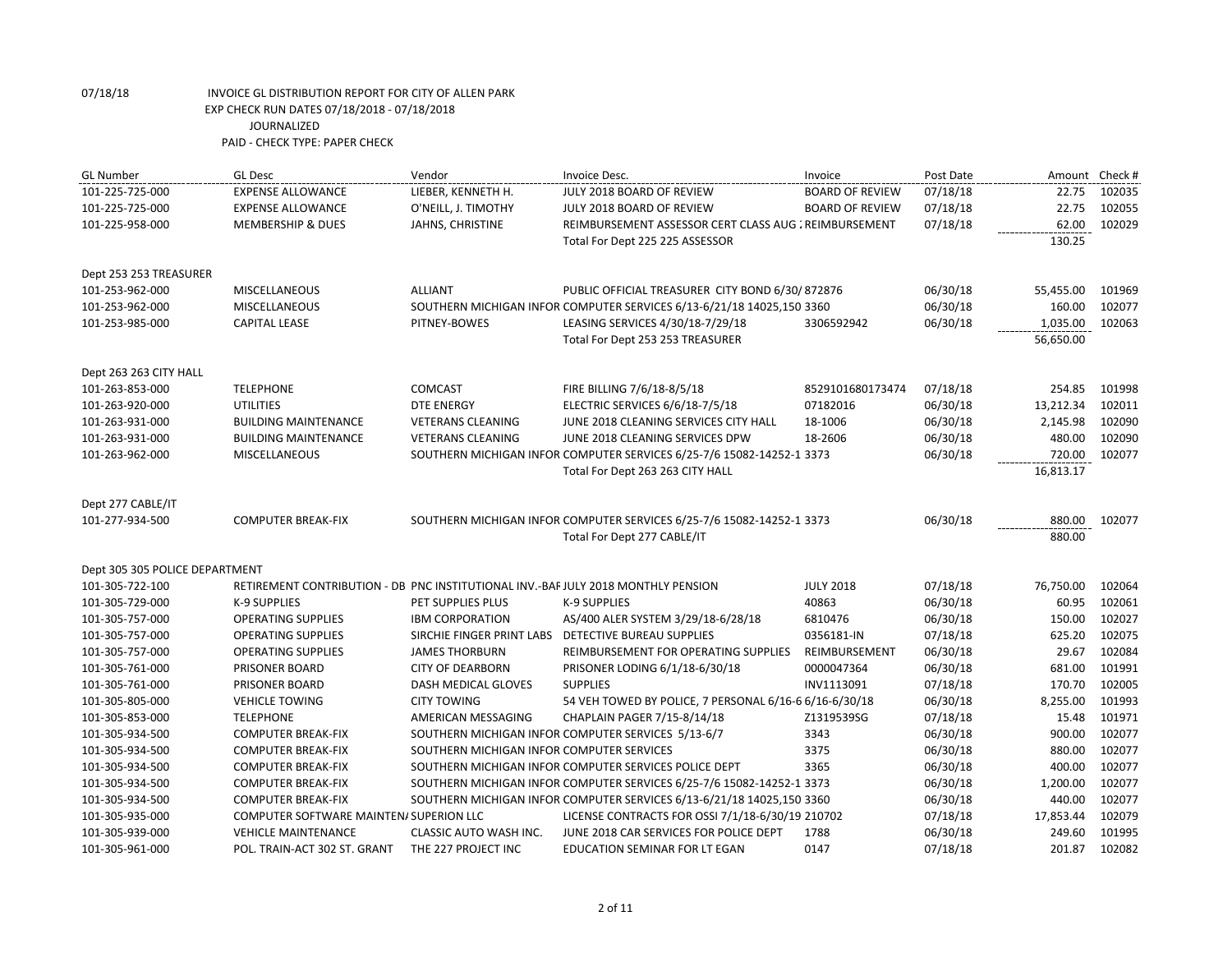| <b>GL Number</b>               | <b>GL Desc</b>                                                                    | Vendor                                    | Invoice Desc.                                                         | Invoice                | Post Date | Amount Check # |        |
|--------------------------------|-----------------------------------------------------------------------------------|-------------------------------------------|-----------------------------------------------------------------------|------------------------|-----------|----------------|--------|
| 101-225-725-000                | <b>EXPENSE ALLOWANCE</b>                                                          | LIEBER, KENNETH H.                        | JULY 2018 BOARD OF REVIEW                                             | <b>BOARD OF REVIEW</b> | 07/18/18  | 22.75          | 102035 |
| 101-225-725-000                | <b>EXPENSE ALLOWANCE</b>                                                          | O'NEILL, J. TIMOTHY                       | JULY 2018 BOARD OF REVIEW                                             | <b>BOARD OF REVIEW</b> | 07/18/18  | 22.75          | 102055 |
| 101-225-958-000                | <b>MEMBERSHIP &amp; DUES</b>                                                      | JAHNS, CHRISTINE                          | REIMBURSEMENT ASSESSOR CERT CLASS AUG : REIMBURSEMENT                 |                        | 07/18/18  | 62.00          | 102029 |
|                                |                                                                                   |                                           | Total For Dept 225 225 ASSESSOR                                       |                        |           | 130.25         |        |
| Dept 253 253 TREASURER         |                                                                                   |                                           |                                                                       |                        |           |                |        |
| 101-253-962-000                | <b>MISCELLANEOUS</b>                                                              | <b>ALLIANT</b>                            | PUBLIC OFFICIAL TREASURER CITY BOND 6/30/872876                       |                        | 06/30/18  | 55,455.00      | 101969 |
| 101-253-962-000                | MISCELLANEOUS                                                                     |                                           | SOUTHERN MICHIGAN INFOR COMPUTER SERVICES 6/13-6/21/18 14025,150 3360 |                        | 06/30/18  | 160.00         | 102077 |
| 101-253-985-000                | <b>CAPITAL LEASE</b>                                                              | PITNEY-BOWES                              | LEASING SERVICES 4/30/18-7/29/18                                      | 3306592942             | 06/30/18  | 1,035.00       | 102063 |
|                                |                                                                                   |                                           | Total For Dept 253 253 TREASURER                                      |                        |           | 56,650.00      |        |
| Dept 263 263 CITY HALL         |                                                                                   |                                           |                                                                       |                        |           |                |        |
| 101-263-853-000                | <b>TELEPHONE</b>                                                                  | <b>COMCAST</b>                            | FIRE BILLING 7/6/18-8/5/18                                            | 8529101680173474       | 07/18/18  | 254.85         | 101998 |
| 101-263-920-000                | <b>UTILITIES</b>                                                                  | <b>DTE ENERGY</b>                         | ELECTRIC SERVICES 6/6/18-7/5/18                                       | 07182016               | 06/30/18  | 13,212.34      | 102011 |
| 101-263-931-000                | <b>BUILDING MAINTENANCE</b>                                                       | <b>VETERANS CLEANING</b>                  | JUNE 2018 CLEANING SERVICES CITY HALL                                 | 18-1006                | 06/30/18  | 2,145.98       | 102090 |
| 101-263-931-000                | <b>BUILDING MAINTENANCE</b>                                                       | <b>VETERANS CLEANING</b>                  | JUNE 2018 CLEANING SERVICES DPW                                       | 18-2606                | 06/30/18  | 480.00         | 102090 |
| 101-263-962-000                | MISCELLANEOUS                                                                     |                                           | SOUTHERN MICHIGAN INFOR COMPUTER SERVICES 6/25-7/6 15082-14252-1 3373 |                        | 06/30/18  | 720.00         | 102077 |
|                                |                                                                                   |                                           | Total For Dept 263 263 CITY HALL                                      |                        |           | 16,813.17      |        |
| Dept 277 CABLE/IT              |                                                                                   |                                           |                                                                       |                        |           |                |        |
| 101-277-934-500                | <b>COMPUTER BREAK-FIX</b>                                                         |                                           | SOUTHERN MICHIGAN INFOR COMPUTER SERVICES 6/25-7/6 15082-14252-1 3373 |                        | 06/30/18  | 880.00         | 102077 |
|                                |                                                                                   |                                           | Total For Dept 277 CABLE/IT                                           |                        |           | 880.00         |        |
| Dept 305 305 POLICE DEPARTMENT |                                                                                   |                                           |                                                                       |                        |           |                |        |
| 101-305-722-100                | RETIREMENT CONTRIBUTION - DB PNC INSTITUTIONAL INV.-BAF JULY 2018 MONTHLY PENSION |                                           |                                                                       | <b>JULY 2018</b>       | 07/18/18  | 76,750.00      | 102064 |
| 101-305-729-000                | <b>K-9 SUPPLIES</b>                                                               | PET SUPPLIES PLUS                         | <b>K-9 SUPPLIES</b>                                                   | 40863                  | 06/30/18  | 60.95          | 102061 |
| 101-305-757-000                | <b>OPERATING SUPPLIES</b>                                                         | <b>IBM CORPORATION</b>                    | AS/400 ALER SYSTEM 3/29/18-6/28/18                                    | 6810476                | 06/30/18  | 150.00         | 102027 |
| 101-305-757-000                | <b>OPERATING SUPPLIES</b>                                                         |                                           | SIRCHIE FINGER PRINT LABS DETECTIVE BUREAU SUPPLIES                   | 0356181-IN             | 07/18/18  | 625.20         | 102075 |
| 101-305-757-000                | <b>OPERATING SUPPLIES</b>                                                         | <b>JAMES THORBURN</b>                     | REIMBURSEMENT FOR OPERATING SUPPLIES                                  | REIMBURSEMENT          | 06/30/18  | 29.67          | 102084 |
| 101-305-761-000                | PRISONER BOARD                                                                    | <b>CITY OF DEARBORN</b>                   | PRISONER LODING 6/1/18-6/30/18                                        | 0000047364             | 06/30/18  | 681.00         | 101991 |
| 101-305-761-000                | <b>PRISONER BOARD</b>                                                             | DASH MEDICAL GLOVES                       | <b>SUPPLIES</b>                                                       | INV1113091             | 07/18/18  | 170.70         | 102005 |
| 101-305-805-000                | <b>VEHICLE TOWING</b>                                                             | <b>CITY TOWING</b>                        | 54 VEH TOWED BY POLICE, 7 PERSONAL 6/16-6 6/16-6/30/18                |                        | 06/30/18  | 8,255.00       | 101993 |
| 101-305-853-000                | <b>TELEPHONE</b>                                                                  | AMERICAN MESSAGING                        | CHAPLAIN PAGER 7/15-8/14/18                                           | Z1319539SG             | 07/18/18  | 15.48          | 101971 |
| 101-305-934-500                | <b>COMPUTER BREAK-FIX</b>                                                         |                                           | SOUTHERN MICHIGAN INFOR COMPUTER SERVICES 5/13-6/7                    | 3343                   | 06/30/18  | 900.00         | 102077 |
| 101-305-934-500                | <b>COMPUTER BREAK-FIX</b>                                                         | SOUTHERN MICHIGAN INFOR COMPUTER SERVICES |                                                                       | 3375                   | 06/30/18  | 880.00         | 102077 |
| 101-305-934-500                | <b>COMPUTER BREAK-FIX</b>                                                         |                                           | SOUTHERN MICHIGAN INFOR COMPUTER SERVICES POLICE DEPT                 | 3365                   | 06/30/18  | 400.00         | 102077 |
| 101-305-934-500                | <b>COMPUTER BREAK-FIX</b>                                                         |                                           | SOUTHERN MICHIGAN INFOR COMPUTER SERVICES 6/25-7/6 15082-14252-1 3373 |                        | 06/30/18  | 1,200.00       | 102077 |
| 101-305-934-500                | <b>COMPUTER BREAK-FIX</b>                                                         |                                           | SOUTHERN MICHIGAN INFOR COMPUTER SERVICES 6/13-6/21/18 14025,150 3360 |                        | 06/30/18  | 440.00         | 102077 |
| 101-305-935-000                | COMPUTER SOFTWARE MAINTEN/ SUPERION LLC                                           |                                           | LICENSE CONTRACTS FOR OSSI 7/1/18-6/30/19 210702                      |                        | 07/18/18  | 17,853.44      | 102079 |
| 101-305-939-000                | <b>VEHICLE MAINTENANCE</b>                                                        | CLASSIC AUTO WASH INC.                    | JUNE 2018 CAR SERVICES FOR POLICE DEPT                                | 1788                   | 06/30/18  | 249.60         | 101995 |
| 101-305-961-000                | POL. TRAIN-ACT 302 ST. GRANT                                                      | THE 227 PROJECT INC                       | EDUCATION SEMINAR FOR LT EGAN                                         | 0147                   | 07/18/18  | 201.87         | 102082 |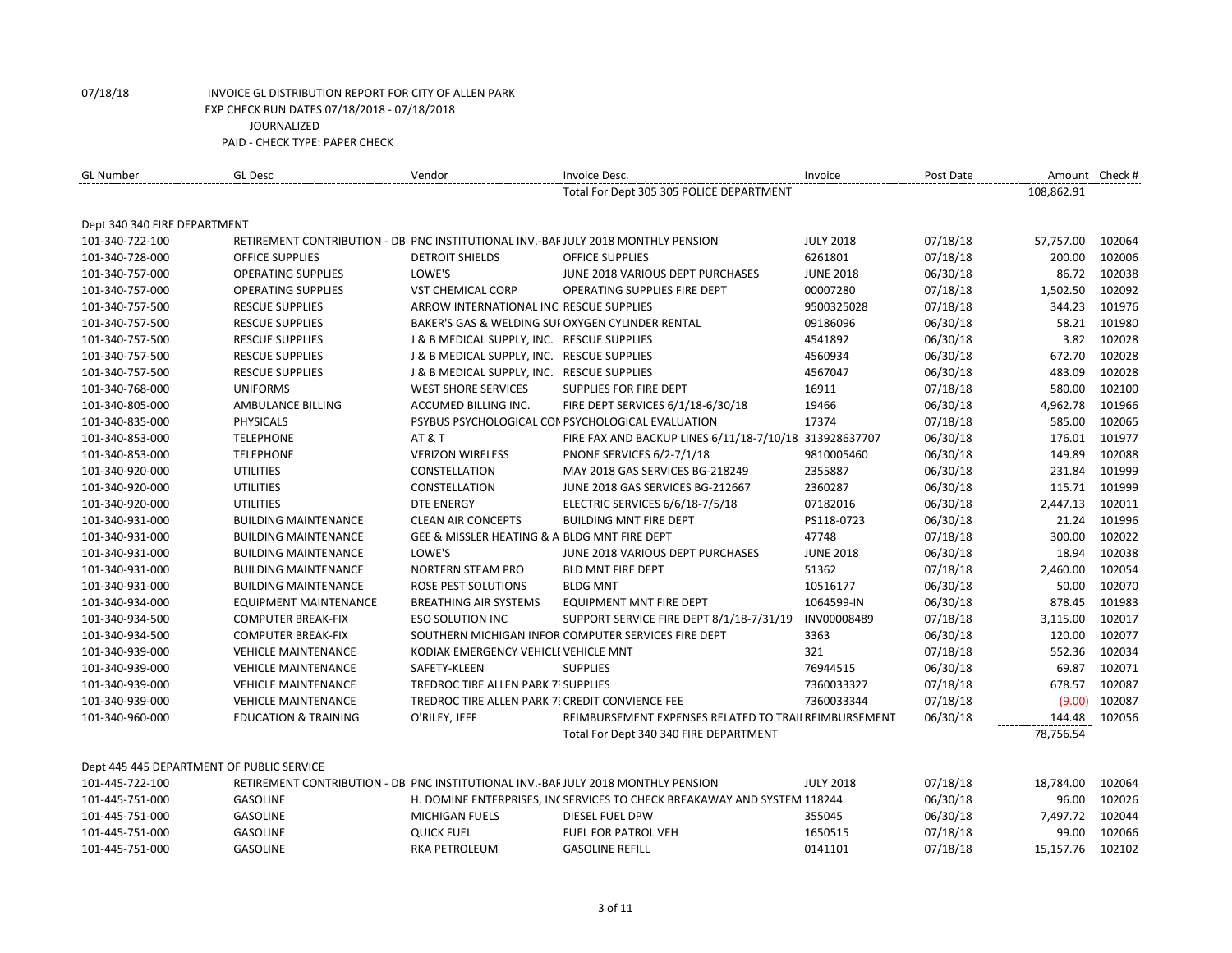| <b>GL Number</b>                          | <b>GL Desc</b>                                                                    | Vendor                                          | Invoice Desc.                                                            | Invoice          | Post Date |            | Amount Check # |
|-------------------------------------------|-----------------------------------------------------------------------------------|-------------------------------------------------|--------------------------------------------------------------------------|------------------|-----------|------------|----------------|
|                                           |                                                                                   |                                                 | Total For Dept 305 305 POLICE DEPARTMENT                                 |                  |           | 108,862.91 |                |
| Dept 340 340 FIRE DEPARTMENT              |                                                                                   |                                                 |                                                                          |                  |           |            |                |
| 101-340-722-100                           | RETIREMENT CONTRIBUTION - DB PNC INSTITUTIONAL INV.-BAF JULY 2018 MONTHLY PENSION |                                                 |                                                                          | <b>JULY 2018</b> | 07/18/18  | 57,757.00  | 102064         |
| 101-340-728-000                           | <b>OFFICE SUPPLIES</b>                                                            | <b>DETROIT SHIELDS</b>                          | <b>OFFICE SUPPLIES</b>                                                   | 6261801          | 07/18/18  | 200.00     | 102006         |
| 101-340-757-000                           | <b>OPERATING SUPPLIES</b>                                                         | LOWE'S                                          | JUNE 2018 VARIOUS DEPT PURCHASES                                         | <b>JUNE 2018</b> | 06/30/18  | 86.72      | 102038         |
| 101-340-757-000                           | <b>OPERATING SUPPLIES</b>                                                         | <b>VST CHEMICAL CORP</b>                        | <b>OPERATING SUPPLIES FIRE DEPT</b>                                      | 00007280         | 07/18/18  | 1,502.50   | 102092         |
| 101-340-757-500                           | <b>RESCUE SUPPLIES</b>                                                            | ARROW INTERNATIONAL INC RESCUE SUPPLIES         |                                                                          | 9500325028       | 07/18/18  | 344.23     | 101976         |
| 101-340-757-500                           | <b>RESCUE SUPPLIES</b>                                                            |                                                 | BAKER'S GAS & WELDING SUI OXYGEN CYLINDER RENTAL                         | 09186096         | 06/30/18  | 58.21      | 101980         |
| 101-340-757-500                           | <b>RESCUE SUPPLIES</b>                                                            | J & B MEDICAL SUPPLY, INC. RESCUE SUPPLIES      |                                                                          | 4541892          | 06/30/18  | 3.82       | 102028         |
| 101-340-757-500                           | <b>RESCUE SUPPLIES</b>                                                            | J & B MEDICAL SUPPLY, INC. RESCUE SUPPLIES      |                                                                          | 4560934          | 06/30/18  | 672.70     | 102028         |
| 101-340-757-500                           | <b>RESCUE SUPPLIES</b>                                                            | J & B MEDICAL SUPPLY, INC. RESCUE SUPPLIES      |                                                                          | 4567047          | 06/30/18  | 483.09     | 102028         |
| 101-340-768-000                           | <b>UNIFORMS</b>                                                                   | <b>WEST SHORE SERVICES</b>                      | SUPPLIES FOR FIRE DEPT                                                   | 16911            | 07/18/18  | 580.00     | 102100         |
| 101-340-805-000                           | AMBULANCE BILLING                                                                 | ACCUMED BILLING INC.                            | FIRE DEPT SERVICES 6/1/18-6/30/18                                        | 19466            | 06/30/18  | 4,962.78   | 101966         |
| 101-340-835-000                           | <b>PHYSICALS</b>                                                                  |                                                 | PSYBUS PSYCHOLOGICAL CON PSYCHOLOGICAL EVALUATION                        | 17374            | 07/18/18  | 585.00     | 102065         |
| 101-340-853-000                           | <b>TELEPHONE</b>                                                                  | <b>AT &amp; T</b>                               | FIRE FAX AND BACKUP LINES 6/11/18-7/10/18 313928637707                   |                  | 06/30/18  | 176.01     | 101977         |
| 101-340-853-000                           | <b>TELEPHONE</b>                                                                  | <b>VERIZON WIRELESS</b>                         | <b>PNONE SERVICES 6/2-7/1/18</b>                                         | 9810005460       | 06/30/18  | 149.89     | 102088         |
| 101-340-920-000                           | <b>UTILITIES</b>                                                                  | CONSTELLATION                                   | MAY 2018 GAS SERVICES BG-218249                                          | 2355887          | 06/30/18  | 231.84     | 101999         |
| 101-340-920-000                           | <b>UTILITIES</b>                                                                  | CONSTELLATION                                   | JUNE 2018 GAS SERVICES BG-212667                                         | 2360287          | 06/30/18  | 115.71     | 101999         |
| 101-340-920-000                           | <b>UTILITIES</b>                                                                  | <b>DTE ENERGY</b>                               | ELECTRIC SERVICES 6/6/18-7/5/18                                          | 07182016         | 06/30/18  | 2,447.13   | 102011         |
| 101-340-931-000                           | <b>BUILDING MAINTENANCE</b>                                                       | <b>CLEAN AIR CONCEPTS</b>                       | <b>BUILDING MNT FIRE DEPT</b>                                            | PS118-0723       | 06/30/18  | 21.24      | 101996         |
| 101-340-931-000                           | <b>BUILDING MAINTENANCE</b>                                                       | GEE & MISSLER HEATING & A BLDG MNT FIRE DEPT    |                                                                          | 47748            | 07/18/18  | 300.00     | 102022         |
| 101-340-931-000                           | <b>BUILDING MAINTENANCE</b>                                                       | LOWE'S                                          | JUNE 2018 VARIOUS DEPT PURCHASES                                         | <b>JUNE 2018</b> | 06/30/18  | 18.94      | 102038         |
| 101-340-931-000                           | <b>BUILDING MAINTENANCE</b>                                                       | <b>NORTERN STEAM PRO</b>                        | BLD MNT FIRE DEPT                                                        | 51362            | 07/18/18  | 2,460.00   | 102054         |
| 101-340-931-000                           | <b>BUILDING MAINTENANCE</b>                                                       | ROSE PEST SOLUTIONS                             | <b>BLDG MNT</b>                                                          | 10516177         | 06/30/18  | 50.00      | 102070         |
| 101-340-934-000                           | <b>EQUIPMENT MAINTENANCE</b>                                                      | <b>BREATHING AIR SYSTEMS</b>                    | <b>EQUIPMENT MNT FIRE DEPT</b>                                           | 1064599-IN       | 06/30/18  | 878.45     | 101983         |
| 101-340-934-500                           | <b>COMPUTER BREAK-FIX</b>                                                         | <b>ESO SOLUTION INC</b>                         | SUPPORT SERVICE FIRE DEPT 8/1/18-7/31/19                                 | INV00008489      | 07/18/18  | 3,115.00   | 102017         |
| 101-340-934-500                           | <b>COMPUTER BREAK-FIX</b>                                                         |                                                 | SOUTHERN MICHIGAN INFOR COMPUTER SERVICES FIRE DEPT                      | 3363             | 06/30/18  | 120.00     | 102077         |
| 101-340-939-000                           | <b>VEHICLE MAINTENANCE</b>                                                        | KODIAK EMERGENCY VEHICLE VEHICLE MNT            |                                                                          | 321              | 07/18/18  | 552.36     | 102034         |
| 101-340-939-000                           | <b>VEHICLE MAINTENANCE</b>                                                        | SAFETY-KLEEN                                    | <b>SUPPLIES</b>                                                          | 76944515         | 06/30/18  | 69.87      | 102071         |
| 101-340-939-000                           | <b>VEHICLE MAINTENANCE</b>                                                        | TREDROC TIRE ALLEN PARK 7: SUPPLIES             |                                                                          | 7360033327       | 07/18/18  | 678.57     | 102087         |
| 101-340-939-000                           | <b>VEHICLE MAINTENANCE</b>                                                        | TREDROC TIRE ALLEN PARK 7. CREDIT CONVIENCE FEE |                                                                          | 7360033344       | 07/18/18  | (9.00)     | 102087         |
| 101-340-960-000                           | <b>EDUCATION &amp; TRAINING</b>                                                   | O'RILEY, JEFF                                   | REIMBURSEMENT EXPENSES RELATED TO TRAII REIMBURSEMENT                    |                  | 06/30/18  | 144.48     | 102056         |
|                                           |                                                                                   |                                                 | Total For Dept 340 340 FIRE DEPARTMENT                                   |                  |           | 78,756.54  |                |
| Dept 445 445 DEPARTMENT OF PUBLIC SERVICE |                                                                                   |                                                 |                                                                          |                  |           |            |                |
| 101-445-722-100                           | RETIREMENT CONTRIBUTION - DB PNC INSTITUTIONAL INV.-BAF JULY 2018 MONTHLY PENSION |                                                 |                                                                          | <b>JULY 2018</b> | 07/18/18  | 18,784.00  | 102064         |
| 101-445-751-000                           | <b>GASOLINE</b>                                                                   |                                                 | H. DOMINE ENTERPRISES, INC SERVICES TO CHECK BREAKAWAY AND SYSTEM 118244 |                  | 06/30/18  | 96.00      | 102026         |
| 101-445-751-000                           | <b>GASOLINE</b>                                                                   | <b>MICHIGAN FUELS</b>                           | <b>DIESEL FUEL DPW</b>                                                   | 355045           | 06/30/18  | 7.497.72   | 102044         |
| 101-445-751-000                           | <b>GASOLINE</b>                                                                   | <b>QUICK FUEL</b>                               | <b>FUEL FOR PATROL VEH</b>                                               | 1650515          | 07/18/18  | 99.00      | 102066         |
| 101-445-751-000                           | <b>GASOLINE</b>                                                                   | RKA PETROLEUM                                   | <b>GASOLINE REFILL</b>                                                   | 0141101          | 07/18/18  | 15,157.76  | 102102         |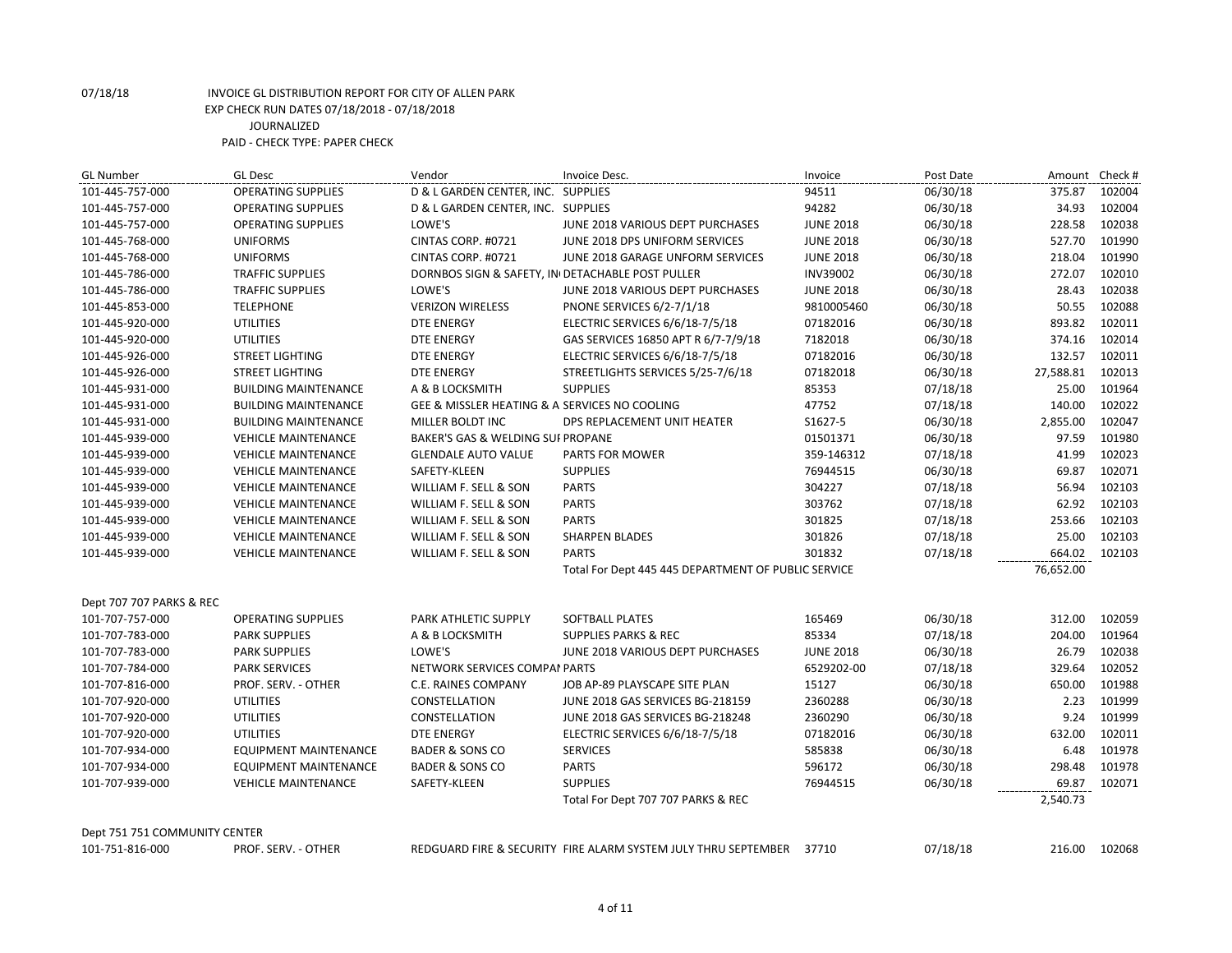| <b>GL Number</b>              | <b>GL Desc</b>               | Vendor                                           | Invoice Desc.                                                  | Invoice          | Post Date | Amount Check # |        |
|-------------------------------|------------------------------|--------------------------------------------------|----------------------------------------------------------------|------------------|-----------|----------------|--------|
| 101-445-757-000               | <b>OPERATING SUPPLIES</b>    | D & L GARDEN CENTER, INC. SUPPLIES               |                                                                | 94511            | 06/30/18  | 375.87         | 102004 |
| 101-445-757-000               | <b>OPERATING SUPPLIES</b>    | D & L GARDEN CENTER, INC. SUPPLIES               |                                                                | 94282            | 06/30/18  | 34.93          | 102004 |
| 101-445-757-000               | <b>OPERATING SUPPLIES</b>    | LOWE'S                                           | JUNE 2018 VARIOUS DEPT PURCHASES                               | <b>JUNE 2018</b> | 06/30/18  | 228.58         | 102038 |
| 101-445-768-000               | <b>UNIFORMS</b>              | CINTAS CORP. #0721                               | JUNE 2018 DPS UNIFORM SERVICES                                 | <b>JUNE 2018</b> | 06/30/18  | 527.70         | 101990 |
| 101-445-768-000               | <b>UNIFORMS</b>              | CINTAS CORP. #0721                               | JUNE 2018 GARAGE UNFORM SERVICES                               | <b>JUNE 2018</b> | 06/30/18  | 218.04         | 101990 |
| 101-445-786-000               | <b>TRAFFIC SUPPLIES</b>      | DORNBOS SIGN & SAFETY, IN DETACHABLE POST PULLER |                                                                | <b>INV39002</b>  | 06/30/18  | 272.07         | 102010 |
| 101-445-786-000               | <b>TRAFFIC SUPPLIES</b>      | LOWE'S                                           | JUNE 2018 VARIOUS DEPT PURCHASES                               | <b>JUNE 2018</b> | 06/30/18  | 28.43          | 102038 |
| 101-445-853-000               | <b>TELEPHONE</b>             | <b>VERIZON WIRELESS</b>                          | <b>PNONE SERVICES 6/2-7/1/18</b>                               | 9810005460       | 06/30/18  | 50.55          | 102088 |
| 101-445-920-000               | <b>UTILITIES</b>             | <b>DTE ENERGY</b>                                | ELECTRIC SERVICES 6/6/18-7/5/18                                | 07182016         | 06/30/18  | 893.82         | 102011 |
| 101-445-920-000               | <b>UTILITIES</b>             | <b>DTE ENERGY</b>                                | GAS SERVICES 16850 APT R 6/7-7/9/18                            | 7182018          | 06/30/18  | 374.16         | 102014 |
| 101-445-926-000               | <b>STREET LIGHTING</b>       | <b>DTE ENERGY</b>                                | ELECTRIC SERVICES 6/6/18-7/5/18                                | 07182016         | 06/30/18  | 132.57         | 102011 |
| 101-445-926-000               | <b>STREET LIGHTING</b>       | <b>DTE ENERGY</b>                                | STREETLIGHTS SERVICES 5/25-7/6/18                              | 07182018         | 06/30/18  | 27,588.81      | 102013 |
| 101-445-931-000               | <b>BUILDING MAINTENANCE</b>  | A & B LOCKSMITH                                  | <b>SUPPLIES</b>                                                | 85353            | 07/18/18  | 25.00          | 101964 |
| 101-445-931-000               | <b>BUILDING MAINTENANCE</b>  | GEE & MISSLER HEATING & A SERVICES NO COOLING    |                                                                | 47752            | 07/18/18  | 140.00         | 102022 |
| 101-445-931-000               | <b>BUILDING MAINTENANCE</b>  | MILLER BOLDT INC                                 | DPS REPLACEMENT UNIT HEATER                                    | S1627-5          | 06/30/18  | 2,855.00       | 102047 |
| 101-445-939-000               | <b>VEHICLE MAINTENANCE</b>   | BAKER'S GAS & WELDING SUI PROPANE                |                                                                | 01501371         | 06/30/18  | 97.59          | 101980 |
| 101-445-939-000               | <b>VEHICLE MAINTENANCE</b>   | <b>GLENDALE AUTO VALUE</b>                       | PARTS FOR MOWER                                                | 359-146312       | 07/18/18  | 41.99          | 102023 |
| 101-445-939-000               | <b>VEHICLE MAINTENANCE</b>   | SAFETY-KLEEN                                     | <b>SUPPLIES</b>                                                | 76944515         | 06/30/18  | 69.87          | 102071 |
| 101-445-939-000               | <b>VEHICLE MAINTENANCE</b>   | WILLIAM F. SELL & SON                            | <b>PARTS</b>                                                   | 304227           | 07/18/18  | 56.94          | 102103 |
| 101-445-939-000               | <b>VEHICLE MAINTENANCE</b>   | WILLIAM F. SELL & SON                            | <b>PARTS</b>                                                   | 303762           | 07/18/18  | 62.92          | 102103 |
| 101-445-939-000               | <b>VEHICLE MAINTENANCE</b>   | WILLIAM F. SELL & SON                            | <b>PARTS</b>                                                   | 301825           | 07/18/18  | 253.66         | 102103 |
| 101-445-939-000               | <b>VEHICLE MAINTENANCE</b>   | WILLIAM F. SELL & SON                            | <b>SHARPEN BLADES</b>                                          | 301826           | 07/18/18  | 25.00          | 102103 |
| 101-445-939-000               | <b>VEHICLE MAINTENANCE</b>   | WILLIAM F. SELL & SON                            | <b>PARTS</b>                                                   | 301832           | 07/18/18  | 664.02         | 102103 |
|                               |                              |                                                  | Total For Dept 445 445 DEPARTMENT OF PUBLIC SERVICE            |                  |           | 76,652.00      |        |
| Dept 707 707 PARKS & REC      |                              |                                                  |                                                                |                  |           |                |        |
| 101-707-757-000               | <b>OPERATING SUPPLIES</b>    | PARK ATHLETIC SUPPLY                             | SOFTBALL PLATES                                                | 165469           | 06/30/18  | 312.00         | 102059 |
| 101-707-783-000               | <b>PARK SUPPLIES</b>         | A & B LOCKSMITH                                  | <b>SUPPLIES PARKS &amp; REC</b>                                | 85334            | 07/18/18  | 204.00         | 101964 |
| 101-707-783-000               | <b>PARK SUPPLIES</b>         | LOWE'S                                           | JUNE 2018 VARIOUS DEPT PURCHASES                               | <b>JUNE 2018</b> | 06/30/18  | 26.79          | 102038 |
| 101-707-784-000               | <b>PARK SERVICES</b>         | NETWORK SERVICES COMPAI PARTS                    |                                                                | 6529202-00       | 07/18/18  | 329.64         | 102052 |
| 101-707-816-000               | PROF. SERV. - OTHER          | C.E. RAINES COMPANY                              | JOB AP-89 PLAYSCAPE SITE PLAN                                  | 15127            | 06/30/18  | 650.00         | 101988 |
| 101-707-920-000               | <b>UTILITIES</b>             | CONSTELLATION                                    | JUNE 2018 GAS SERVICES BG-218159                               | 2360288          | 06/30/18  | 2.23           | 101999 |
| 101-707-920-000               | <b>UTILITIES</b>             | CONSTELLATION                                    | JUNE 2018 GAS SERVICES BG-218248                               | 2360290          | 06/30/18  | 9.24           | 101999 |
| 101-707-920-000               | <b>UTILITIES</b>             | <b>DTE ENERGY</b>                                | ELECTRIC SERVICES 6/6/18-7/5/18                                | 07182016         | 06/30/18  | 632.00         | 102011 |
| 101-707-934-000               | <b>EQUIPMENT MAINTENANCE</b> | <b>BADER &amp; SONS CO</b>                       | <b>SERVICES</b>                                                | 585838           | 06/30/18  | 6.48           | 101978 |
| 101-707-934-000               | <b>EQUIPMENT MAINTENANCE</b> | <b>BADER &amp; SONS CO</b>                       | <b>PARTS</b>                                                   | 596172           | 06/30/18  | 298.48         | 101978 |
| 101-707-939-000               | <b>VEHICLE MAINTENANCE</b>   | SAFETY-KLEEN                                     | <b>SUPPLIES</b>                                                | 76944515         | 06/30/18  | 69.87          | 102071 |
|                               |                              |                                                  | Total For Dept 707 707 PARKS & REC                             |                  |           | 2,540.73       |        |
| Dept 751 751 COMMUNITY CENTER |                              |                                                  |                                                                |                  |           |                |        |
| 101-751-816-000               | PROF. SERV. - OTHER          |                                                  | REDGUARD FIRE & SECURITY FIRE ALARM SYSTEM JULY THRU SEPTEMBER | 37710            | 07/18/18  | 216.00         | 102068 |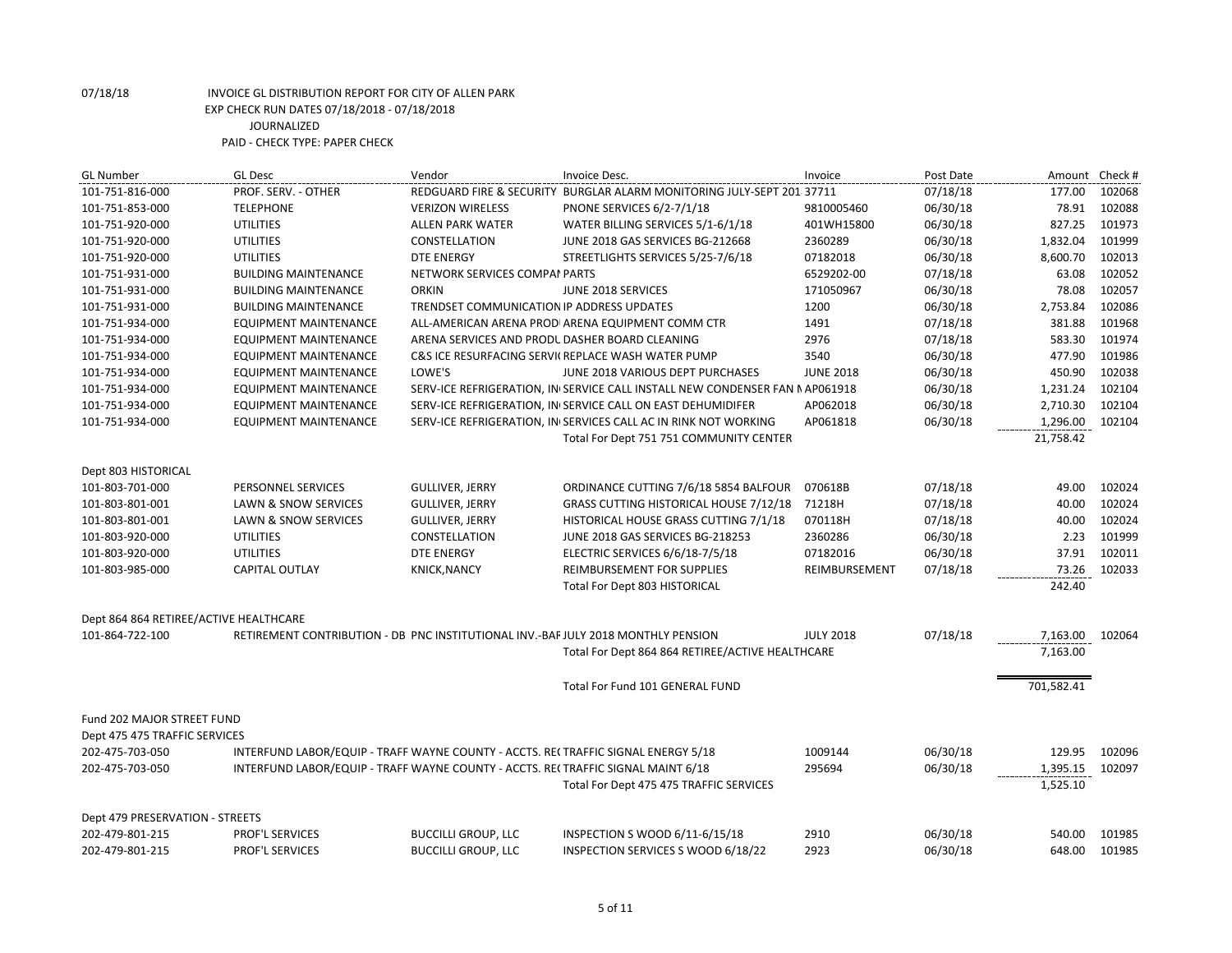| <b>GL Number</b>                       | <b>GL Desc</b>                                                                    | Vendor                                         | Invoice Desc.                                                                | Invoice          | Post Date | Amount     | Check # |
|----------------------------------------|-----------------------------------------------------------------------------------|------------------------------------------------|------------------------------------------------------------------------------|------------------|-----------|------------|---------|
| 101-751-816-000                        | PROF. SERV. - OTHER                                                               |                                                | REDGUARD FIRE & SECURITY BURGLAR ALARM MONITORING JULY-SEPT 201 37711        |                  | 07/18/18  | 177.00     | 102068  |
| 101-751-853-000                        | <b>TELEPHONE</b>                                                                  | <b>VERIZON WIRELESS</b>                        | <b>PNONE SERVICES 6/2-7/1/18</b>                                             | 9810005460       | 06/30/18  | 78.91      | 102088  |
| 101-751-920-000                        | <b>UTILITIES</b>                                                                  | <b>ALLEN PARK WATER</b>                        | WATER BILLING SERVICES 5/1-6/1/18                                            | 401WH15800       | 06/30/18  | 827.25     | 101973  |
| 101-751-920-000                        | <b>UTILITIES</b>                                                                  | <b>CONSTELLATION</b>                           | JUNE 2018 GAS SERVICES BG-212668                                             | 2360289          | 06/30/18  | 1,832.04   | 101999  |
| 101-751-920-000                        | <b>UTILITIES</b>                                                                  | <b>DTE ENERGY</b>                              | STREETLIGHTS SERVICES 5/25-7/6/18                                            | 07182018         | 06/30/18  | 8,600.70   | 102013  |
| 101-751-931-000                        | <b>BUILDING MAINTENANCE</b>                                                       | NETWORK SERVICES COMPAI PARTS                  |                                                                              | 6529202-00       | 07/18/18  | 63.08      | 102052  |
| 101-751-931-000                        | <b>BUILDING MAINTENANCE</b>                                                       | <b>ORKIN</b>                                   | JUNE 2018 SERVICES                                                           | 171050967        | 06/30/18  | 78.08      | 102057  |
| 101-751-931-000                        | <b>BUILDING MAINTENANCE</b>                                                       | TRENDSET COMMUNICATION IP ADDRESS UPDATES      |                                                                              | 1200             | 06/30/18  | 2,753.84   | 102086  |
| 101-751-934-000                        | <b>EQUIPMENT MAINTENANCE</b>                                                      |                                                | ALL-AMERICAN ARENA PRODI ARENA EQUIPMENT COMM CTR                            | 1491             | 07/18/18  | 381.88     | 101968  |
| 101-751-934-000                        | <b>EQUIPMENT MAINTENANCE</b>                                                      | ARENA SERVICES AND PRODL DASHER BOARD CLEANING |                                                                              | 2976             | 07/18/18  | 583.30     | 101974  |
| 101-751-934-000                        | <b>EQUIPMENT MAINTENANCE</b>                                                      |                                                | C&S ICE RESURFACING SERVICREPLACE WASH WATER PUMP                            | 3540             | 06/30/18  | 477.90     | 101986  |
| 101-751-934-000                        | <b>EQUIPMENT MAINTENANCE</b>                                                      | LOWE'S                                         | JUNE 2018 VARIOUS DEPT PURCHASES                                             | <b>JUNE 2018</b> | 06/30/18  | 450.90     | 102038  |
| 101-751-934-000                        | <b>EQUIPMENT MAINTENANCE</b>                                                      |                                                | SERV-ICE REFRIGERATION, IN SERVICE CALL INSTALL NEW CONDENSER FAN N AP061918 |                  | 06/30/18  | 1,231.24   | 102104  |
| 101-751-934-000                        | <b>EQUIPMENT MAINTENANCE</b>                                                      |                                                | SERV-ICE REFRIGERATION, IN SERVICE CALL ON EAST DEHUMIDIFER                  | AP062018         | 06/30/18  | 2,710.30   | 102104  |
| 101-751-934-000                        | <b>EQUIPMENT MAINTENANCE</b>                                                      |                                                | SERV-ICE REFRIGERATION, IN SERVICES CALL AC IN RINK NOT WORKING              | AP061818         | 06/30/18  | 1,296.00   | 102104  |
|                                        |                                                                                   |                                                | Total For Dept 751 751 COMMUNITY CENTER                                      |                  |           | 21,758.42  |         |
|                                        |                                                                                   |                                                |                                                                              |                  |           |            |         |
| Dept 803 HISTORICAL                    |                                                                                   |                                                |                                                                              |                  |           |            |         |
| 101-803-701-000                        | PERSONNEL SERVICES                                                                | <b>GULLIVER, JERRY</b>                         | ORDINANCE CUTTING 7/6/18 5854 BALFOUR                                        | 070618B          | 07/18/18  | 49.00      | 102024  |
| 101-803-801-001                        | LAWN & SNOW SERVICES                                                              | <b>GULLIVER, JERRY</b>                         | <b>GRASS CUTTING HISTORICAL HOUSE 7/12/18</b>                                | 71218H           | 07/18/18  | 40.00      | 102024  |
| 101-803-801-001                        | LAWN & SNOW SERVICES                                                              | <b>GULLIVER, JERRY</b>                         | HISTORICAL HOUSE GRASS CUTTING 7/1/18                                        | 070118H          | 07/18/18  | 40.00      | 102024  |
| 101-803-920-000                        | <b>UTILITIES</b>                                                                  | CONSTELLATION                                  | JUNE 2018 GAS SERVICES BG-218253                                             | 2360286          | 06/30/18  | 2.23       | 101999  |
| 101-803-920-000                        | <b>UTILITIES</b>                                                                  | DTE ENERGY                                     | ELECTRIC SERVICES 6/6/18-7/5/18                                              | 07182016         | 06/30/18  | 37.91      | 102011  |
| 101-803-985-000                        | CAPITAL OUTLAY                                                                    | <b>KNICK, NANCY</b>                            | REIMBURSEMENT FOR SUPPLIES                                                   | REIMBURSEMENT    | 07/18/18  | 73.26      | 102033  |
|                                        |                                                                                   |                                                | <b>Total For Dept 803 HISTORICAL</b>                                         |                  |           | 242.40     |         |
|                                        |                                                                                   |                                                |                                                                              |                  |           |            |         |
| Dept 864 864 RETIREE/ACTIVE HEALTHCARE |                                                                                   |                                                |                                                                              |                  |           |            |         |
| 101-864-722-100                        | RETIREMENT CONTRIBUTION - DB PNC INSTITUTIONAL INV.-BAF JULY 2018 MONTHLY PENSION |                                                |                                                                              | <b>JULY 2018</b> | 07/18/18  | 7,163.00   | 102064  |
|                                        |                                                                                   |                                                | Total For Dept 864 864 RETIREE/ACTIVE HEALTHCARE                             |                  |           | 7,163.00   |         |
|                                        |                                                                                   |                                                |                                                                              |                  |           |            |         |
|                                        |                                                                                   |                                                | Total For Fund 101 GENERAL FUND                                              |                  |           | 701,582.41 |         |
|                                        |                                                                                   |                                                |                                                                              |                  |           |            |         |
| Fund 202 MAJOR STREET FUND             |                                                                                   |                                                |                                                                              |                  |           |            |         |
| Dept 475 475 TRAFFIC SERVICES          |                                                                                   |                                                |                                                                              |                  |           |            |         |
| 202-475-703-050                        | INTERFUND LABOR/EQUIP - TRAFF WAYNE COUNTY - ACCTS. RECTRAFFIC SIGNAL ENERGY 5/18 |                                                |                                                                              | 1009144          | 06/30/18  | 129.95     | 102096  |
| 202-475-703-050                        | INTERFUND LABOR/EQUIP - TRAFF WAYNE COUNTY - ACCTS. REI TRAFFIC SIGNAL MAINT 6/18 |                                                |                                                                              | 295694           | 06/30/18  | 1,395.15   | 102097  |
|                                        |                                                                                   |                                                | Total For Dept 475 475 TRAFFIC SERVICES                                      |                  |           | 1,525.10   |         |
|                                        |                                                                                   |                                                |                                                                              |                  |           |            |         |
| Dept 479 PRESERVATION - STREETS        |                                                                                   |                                                |                                                                              |                  |           |            |         |
| 202-479-801-215                        | <b>PROF'L SERVICES</b>                                                            | <b>BUCCILLI GROUP, LLC</b>                     | INSPECTION S WOOD 6/11-6/15/18                                               | 2910             | 06/30/18  | 540.00     | 101985  |
| 202-479-801-215                        | PROF'L SERVICES                                                                   | <b>BUCCILLI GROUP, LLC</b>                     | INSPECTION SERVICES S WOOD 6/18/22                                           | 2923             | 06/30/18  | 648.00     | 101985  |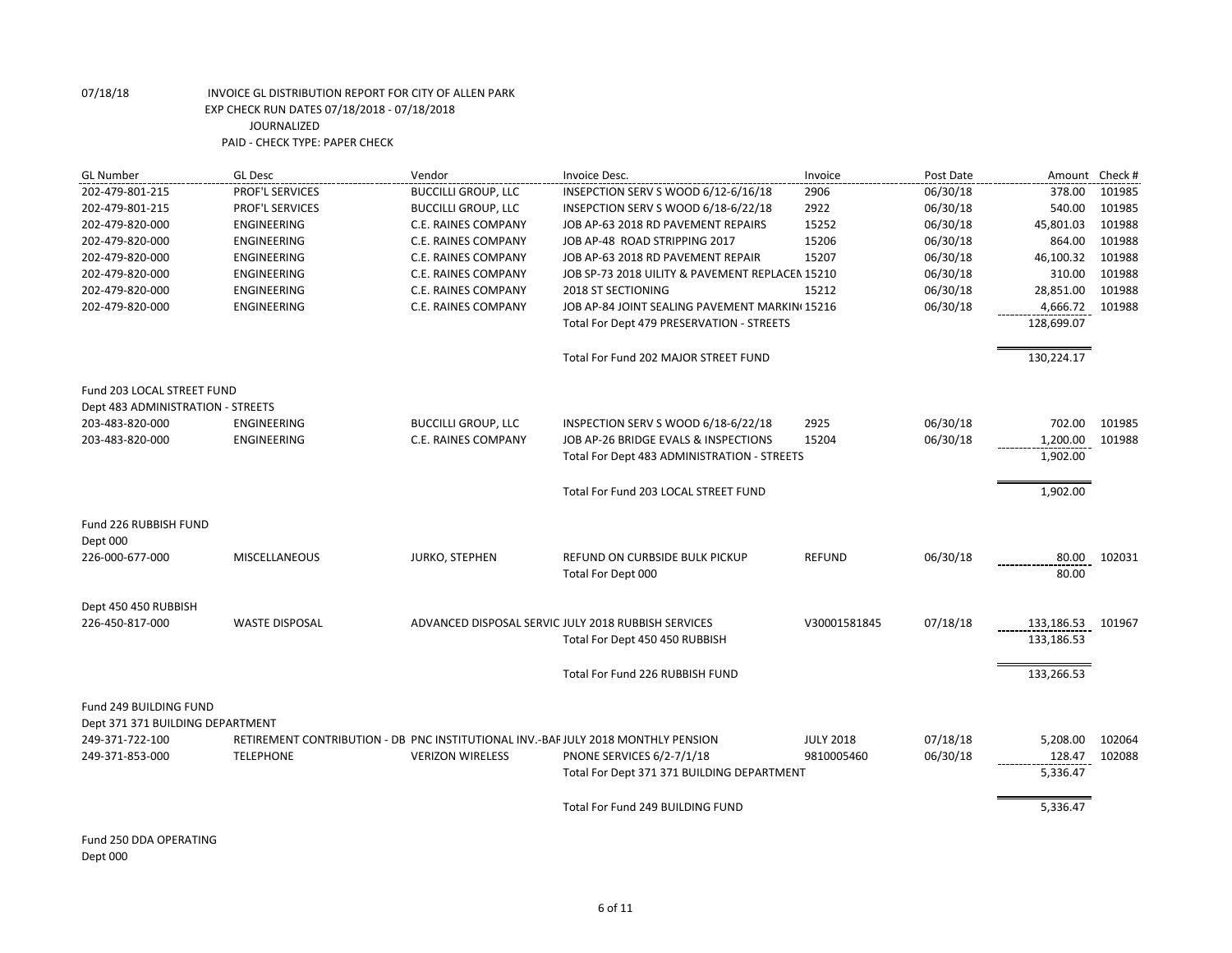| <b>GL Number</b>                                           | <b>GL Desc</b>                                                                    | Vendor                     | Invoice Desc.                                       | Invoice          | Post Date | Amount Check # |        |
|------------------------------------------------------------|-----------------------------------------------------------------------------------|----------------------------|-----------------------------------------------------|------------------|-----------|----------------|--------|
| 202-479-801-215                                            | PROF'L SERVICES                                                                   | <b>BUCCILLI GROUP, LLC</b> | INSEPCTION SERV S WOOD 6/12-6/16/18                 | 2906             | 06/30/18  | 378.00         | 101985 |
| 202-479-801-215                                            | <b>PROF'L SERVICES</b>                                                            | <b>BUCCILLI GROUP, LLC</b> | INSEPCTION SERV S WOOD 6/18-6/22/18                 | 2922             | 06/30/18  | 540.00         | 101985 |
| 202-479-820-000                                            | ENGINEERING                                                                       | C.E. RAINES COMPANY        | JOB AP-63 2018 RD PAVEMENT REPAIRS                  | 15252            | 06/30/18  | 45,801.03      | 101988 |
| 202-479-820-000                                            | ENGINEERING                                                                       | C.E. RAINES COMPANY        | JOB AP-48 ROAD STRIPPING 2017                       | 15206            | 06/30/18  | 864.00         | 101988 |
| 202-479-820-000                                            | ENGINEERING                                                                       | C.E. RAINES COMPANY        | JOB AP-63 2018 RD PAVEMENT REPAIR                   | 15207            | 06/30/18  | 46,100.32      | 101988 |
| 202-479-820-000                                            | ENGINEERING                                                                       | C.E. RAINES COMPANY        | JOB SP-73 2018 UILITY & PAVEMENT REPLACEN 15210     |                  | 06/30/18  | 310.00         | 101988 |
| 202-479-820-000                                            | ENGINEERING                                                                       | C.E. RAINES COMPANY        | <b>2018 ST SECTIONING</b>                           | 15212            | 06/30/18  | 28,851.00      | 101988 |
| 202-479-820-000                                            | <b>ENGINEERING</b>                                                                | <b>C.E. RAINES COMPANY</b> | JOB AP-84 JOINT SEALING PAVEMENT MARKIN(15216       |                  | 06/30/18  | 4,666.72       | 101988 |
|                                                            |                                                                                   |                            | Total For Dept 479 PRESERVATION - STREETS           |                  |           | 128,699.07     |        |
|                                                            |                                                                                   |                            | Total For Fund 202 MAJOR STREET FUND                |                  |           | 130,224.17     |        |
| Fund 203 LOCAL STREET FUND                                 |                                                                                   |                            |                                                     |                  |           |                |        |
| Dept 483 ADMINISTRATION - STREETS                          |                                                                                   |                            |                                                     |                  |           |                |        |
| 203-483-820-000                                            | ENGINEERING                                                                       | <b>BUCCILLI GROUP, LLC</b> | INSPECTION SERV S WOOD 6/18-6/22/18                 | 2925             | 06/30/18  | 702.00         | 101985 |
| 203-483-820-000                                            | <b>ENGINEERING</b>                                                                | C.E. RAINES COMPANY        | JOB AP-26 BRIDGE EVALS & INSPECTIONS                | 15204            | 06/30/18  | 1,200.00       | 101988 |
|                                                            |                                                                                   |                            | Total For Dept 483 ADMINISTRATION - STREETS         |                  |           | 1,902.00       |        |
|                                                            |                                                                                   |                            | Total For Fund 203 LOCAL STREET FUND                |                  |           | 1,902.00       |        |
| Fund 226 RUBBISH FUND                                      |                                                                                   |                            |                                                     |                  |           |                |        |
| Dept 000<br>226-000-677-000                                | <b>MISCELLANEOUS</b>                                                              | JURKO, STEPHEN             | REFUND ON CURBSIDE BULK PICKUP                      | <b>REFUND</b>    | 06/30/18  | 80.00          | 102031 |
|                                                            |                                                                                   |                            | Total For Dept 000                                  |                  |           | 80.00          |        |
|                                                            |                                                                                   |                            |                                                     |                  |           |                |        |
| Dept 450 450 RUBBISH                                       |                                                                                   |                            |                                                     |                  |           |                |        |
| 226-450-817-000                                            | <b>WASTE DISPOSAL</b>                                                             |                            | ADVANCED DISPOSAL SERVIC JULY 2018 RUBBISH SERVICES | V30001581845     | 07/18/18  | 133,186.53     | 101967 |
|                                                            |                                                                                   |                            | Total For Dept 450 450 RUBBISH                      |                  |           | 133,186.53     |        |
|                                                            |                                                                                   |                            | Total For Fund 226 RUBBISH FUND                     |                  |           | 133,266.53     |        |
|                                                            |                                                                                   |                            |                                                     |                  |           |                |        |
| Fund 249 BUILDING FUND<br>Dept 371 371 BUILDING DEPARTMENT |                                                                                   |                            |                                                     |                  |           |                |        |
| 249-371-722-100                                            | RETIREMENT CONTRIBUTION - DB PNC INSTITUTIONAL INV.-BAF JULY 2018 MONTHLY PENSION |                            |                                                     | <b>JULY 2018</b> | 07/18/18  | 5,208.00       | 102064 |
| 249-371-853-000                                            | <b>TELEPHONE</b>                                                                  | <b>VERIZON WIRELESS</b>    | <b>PNONE SERVICES 6/2-7/1/18</b>                    | 9810005460       | 06/30/18  | 128.47         | 102088 |
|                                                            |                                                                                   |                            | Total For Dept 371 371 BUILDING DEPARTMENT          |                  |           | 5,336.47       |        |
|                                                            |                                                                                   |                            |                                                     |                  |           |                |        |
|                                                            |                                                                                   |                            | Total For Fund 249 BUILDING FUND                    |                  |           | 5,336.47       |        |

Fund 250 DDA OPERATING Dept 000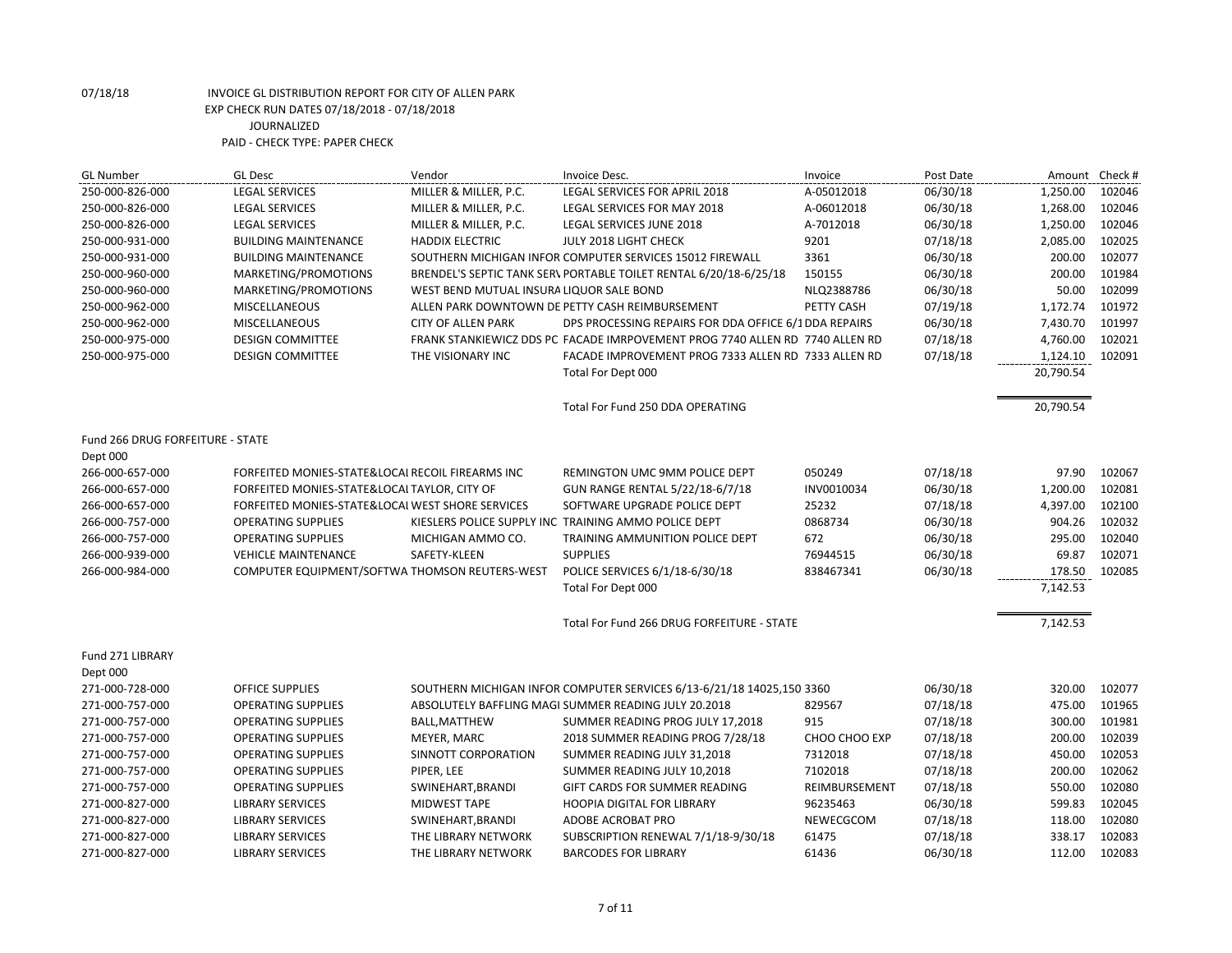| <b>GL Number</b>                 | <b>GL Desc</b>                                   | Vendor                                   | Invoice Desc.                                                                | Invoice       | Post Date | Amount Check # |        |
|----------------------------------|--------------------------------------------------|------------------------------------------|------------------------------------------------------------------------------|---------------|-----------|----------------|--------|
| 250-000-826-000                  | <b>LEGAL SERVICES</b>                            | MILLER & MILLER, P.C.                    | LEGAL SERVICES FOR APRIL 2018                                                | A-05012018    | 06/30/18  | 1,250.00       | 102046 |
| 250-000-826-000                  | <b>LEGAL SERVICES</b>                            | MILLER & MILLER, P.C.                    | LEGAL SERVICES FOR MAY 2018                                                  | A-06012018    | 06/30/18  | 1,268.00       | 102046 |
| 250-000-826-000                  | <b>LEGAL SERVICES</b>                            | MILLER & MILLER, P.C.                    | LEGAL SERVICES JUNE 2018                                                     | A-7012018     | 06/30/18  | 1,250.00       | 102046 |
| 250-000-931-000                  | <b>BUILDING MAINTENANCE</b>                      | <b>HADDIX ELECTRIC</b>                   | JULY 2018 LIGHT CHECK                                                        | 9201          | 07/18/18  | 2,085.00       | 102025 |
| 250-000-931-000                  | <b>BUILDING MAINTENANCE</b>                      |                                          | SOUTHERN MICHIGAN INFOR COMPUTER SERVICES 15012 FIREWALL                     | 3361          | 06/30/18  | 200.00         | 102077 |
| 250-000-960-000                  | MARKETING/PROMOTIONS                             |                                          | BRENDEL'S SEPTIC TANK SER\ PORTABLE TOILET RENTAL 6/20/18-6/25/18            | 150155        | 06/30/18  | 200.00         | 101984 |
| 250-000-960-000                  | MARKETING/PROMOTIONS                             | WEST BEND MUTUAL INSURA LIQUOR SALE BOND |                                                                              | NLQ2388786    | 06/30/18  | 50.00          | 102099 |
| 250-000-962-000                  | MISCELLANEOUS                                    |                                          | ALLEN PARK DOWNTOWN DE PETTY CASH REIMBURSEMENT                              | PETTY CASH    | 07/19/18  | 1,172.74       | 101972 |
| 250-000-962-000                  | <b>MISCELLANEOUS</b>                             | <b>CITY OF ALLEN PARK</b>                | DPS PROCESSING REPAIRS FOR DDA OFFICE 6/1 DDA REPAIRS                        |               | 06/30/18  | 7,430.70       | 101997 |
| 250-000-975-000                  | <b>DESIGN COMMITTEE</b>                          |                                          | FRANK STANKIEWICZ DDS PC FACADE IMRPOVEMENT PROG 7740 ALLEN RD 7740 ALLEN RD |               | 07/18/18  | 4,760.00       | 102021 |
| 250-000-975-000                  | <b>DESIGN COMMITTEE</b>                          | THE VISIONARY INC                        | FACADE IMPROVEMENT PROG 7333 ALLEN RD 7333 ALLEN RD                          |               | 07/18/18  | 1,124.10       | 102091 |
|                                  |                                                  |                                          | Total For Dept 000                                                           |               |           | 20,790.54      |        |
|                                  |                                                  |                                          | Total For Fund 250 DDA OPERATING                                             |               |           | 20,790.54      |        |
| Fund 266 DRUG FORFEITURE - STATE |                                                  |                                          |                                                                              |               |           |                |        |
| Dept 000                         |                                                  |                                          |                                                                              |               |           |                |        |
| 266-000-657-000                  | FORFEITED MONIES-STATE&LOCAL RECOIL FIREARMS INC |                                          | REMINGTON UMC 9MM POLICE DEPT                                                | 050249        | 07/18/18  | 97.90          | 102067 |
| 266-000-657-000                  | FORFEITED MONIES-STATE&LOCAI TAYLOR, CITY OF     |                                          | GUN RANGE RENTAL 5/22/18-6/7/18                                              | INV0010034    | 06/30/18  | 1,200.00       | 102081 |
| 266-000-657-000                  | FORFEITED MONIES-STATE&LOCAL WEST SHORE SERVICES |                                          | SOFTWARE UPGRADE POLICE DEPT                                                 | 25232         | 07/18/18  | 4,397.00       | 102100 |
| 266-000-757-000                  | <b>OPERATING SUPPLIES</b>                        |                                          | KIESLERS POLICE SUPPLY INC TRAINING AMMO POLICE DEPT                         | 0868734       | 06/30/18  | 904.26         | 102032 |
| 266-000-757-000                  | <b>OPERATING SUPPLIES</b>                        | MICHIGAN AMMO CO.                        | TRAINING AMMUNITION POLICE DEPT                                              | 672           | 06/30/18  | 295.00         | 102040 |
| 266-000-939-000                  | <b>VEHICLE MAINTENANCE</b>                       | SAFETY-KLEEN                             | <b>SUPPLIES</b>                                                              | 76944515      | 06/30/18  | 69.87          | 102071 |
| 266-000-984-000                  | COMPUTER EQUIPMENT/SOFTWA THOMSON REUTERS-WEST   |                                          | POLICE SERVICES 6/1/18-6/30/18                                               | 838467341     | 06/30/18  | 178.50         | 102085 |
|                                  |                                                  |                                          | Total For Dept 000                                                           |               |           | 7,142.53       |        |
|                                  |                                                  |                                          | Total For Fund 266 DRUG FORFEITURE - STATE                                   |               |           | 7,142.53       |        |
| Fund 271 LIBRARY                 |                                                  |                                          |                                                                              |               |           |                |        |
| Dept 000                         |                                                  |                                          |                                                                              |               |           |                |        |
| 271-000-728-000                  | <b>OFFICE SUPPLIES</b>                           |                                          | SOUTHERN MICHIGAN INFOR COMPUTER SERVICES 6/13-6/21/18 14025,150 3360        |               | 06/30/18  | 320.00         | 102077 |
| 271-000-757-000                  | <b>OPERATING SUPPLIES</b>                        |                                          | ABSOLUTELY BAFFLING MAGI SUMMER READING JULY 20.2018                         | 829567        | 07/18/18  | 475.00         | 101965 |
| 271-000-757-000                  | <b>OPERATING SUPPLIES</b>                        | <b>BALL, MATTHEW</b>                     | SUMMER READING PROG JULY 17,2018                                             | 915           | 07/18/18  | 300.00         | 101981 |
| 271-000-757-000                  | <b>OPERATING SUPPLIES</b>                        | MEYER, MARC                              | 2018 SUMMER READING PROG 7/28/18                                             | CHOO CHOO EXP | 07/18/18  | 200.00         | 102039 |
| 271-000-757-000                  | <b>OPERATING SUPPLIES</b>                        | SINNOTT CORPORATION                      | SUMMER READING JULY 31,2018                                                  | 7312018       | 07/18/18  | 450.00         | 102053 |
| 271-000-757-000                  | <b>OPERATING SUPPLIES</b>                        | PIPER, LEE                               | SUMMER READING JULY 10,2018                                                  | 7102018       | 07/18/18  | 200.00         | 102062 |
| 271-000-757-000                  | <b>OPERATING SUPPLIES</b>                        | SWINEHART, BRANDI                        | GIFT CARDS FOR SUMMER READING                                                | REIMBURSEMENT | 07/18/18  | 550.00         | 102080 |
| 271-000-827-000                  | <b>LIBRARY SERVICES</b>                          | <b>MIDWEST TAPE</b>                      | <b>HOOPIA DIGITAL FOR LIBRARY</b>                                            | 96235463      | 06/30/18  | 599.83         | 102045 |
| 271-000-827-000                  | <b>LIBRARY SERVICES</b>                          | SWINEHART, BRANDI                        | ADOBE ACROBAT PRO                                                            | NEWECGCOM     | 07/18/18  | 118.00         | 102080 |
| 271-000-827-000                  | <b>LIBRARY SERVICES</b>                          | THE LIBRARY NETWORK                      | SUBSCRIPTION RENEWAL 7/1/18-9/30/18                                          | 61475         | 07/18/18  | 338.17         | 102083 |
| 271-000-827-000                  | <b>LIBRARY SERVICES</b>                          | THE LIBRARY NETWORK                      | <b>BARCODES FOR LIBRARY</b>                                                  | 61436         | 06/30/18  | 112.00         | 102083 |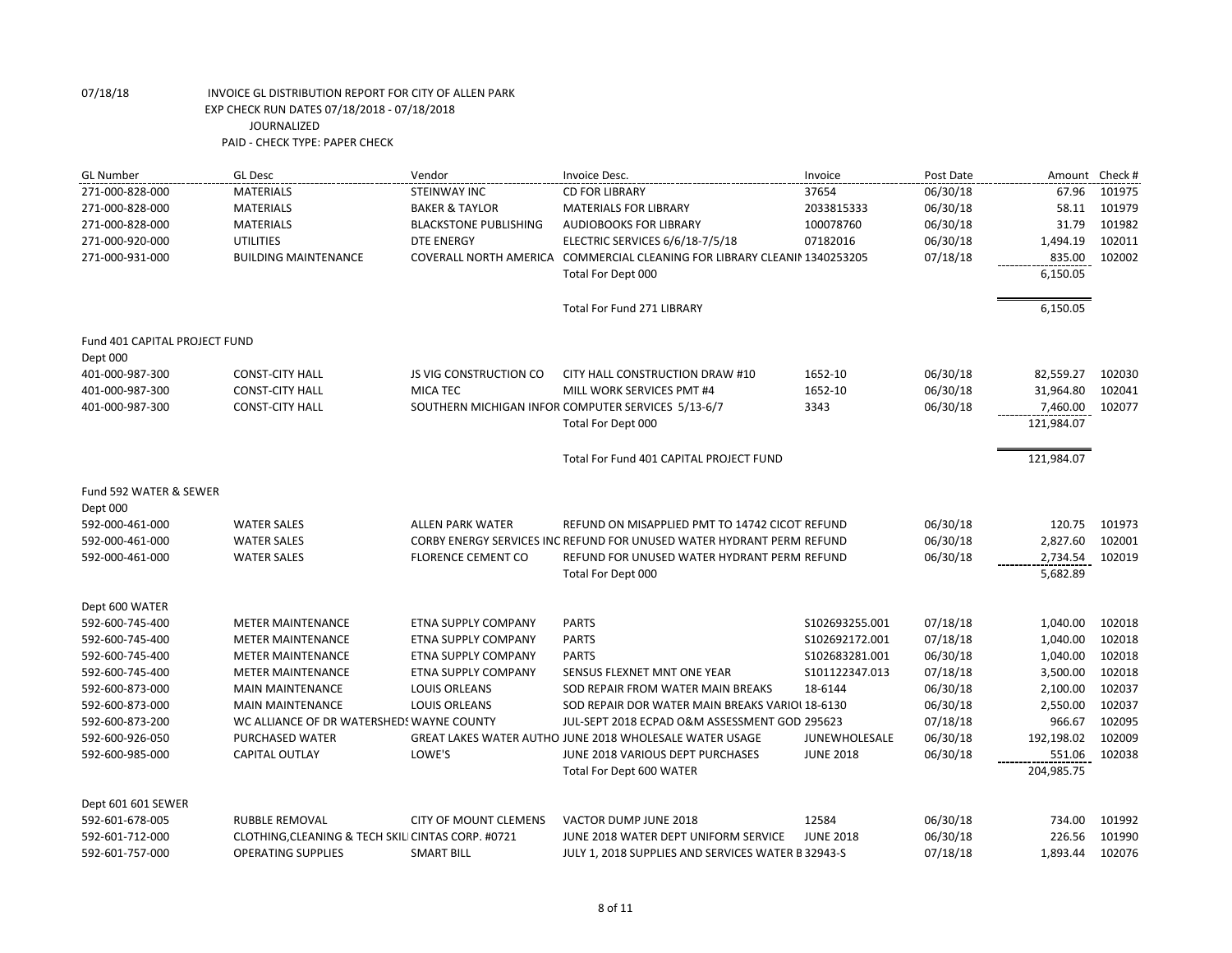| <b>GL Number</b>              | <b>GL Desc</b>                                     | Vendor                        | Invoice Desc.                                                             | Invoice              | Post Date | Amount Check #       |        |
|-------------------------------|----------------------------------------------------|-------------------------------|---------------------------------------------------------------------------|----------------------|-----------|----------------------|--------|
| 271-000-828-000               | <b>MATERIALS</b>                                   | <b>STEINWAY INC</b>           | <b>CD FOR LIBRARY</b>                                                     | 37654                | 06/30/18  | 67.96                | 101975 |
| 271-000-828-000               | <b>MATERIALS</b>                                   | <b>BAKER &amp; TAYLOR</b>     | <b>MATERIALS FOR LIBRARY</b>                                              | 2033815333           | 06/30/18  | 58.11                | 101979 |
| 271-000-828-000               | <b>MATERIALS</b>                                   | <b>BLACKSTONE PUBLISHING</b>  | AUDIOBOOKS FOR LIBRARY                                                    | 100078760            | 06/30/18  | 31.79                | 101982 |
| 271-000-920-000               | <b>UTILITIES</b>                                   | <b>DTE ENERGY</b>             | ELECTRIC SERVICES 6/6/18-7/5/18                                           | 07182016             | 06/30/18  | 1,494.19             | 102011 |
| 271-000-931-000               | <b>BUILDING MAINTENANCE</b>                        |                               | COVERALL NORTH AMERICA COMMERCIAL CLEANING FOR LIBRARY CLEANIN 1340253205 |                      | 07/18/18  | 835.00               | 102002 |
|                               |                                                    |                               | Total For Dept 000                                                        |                      |           | 6,150.05             |        |
|                               |                                                    |                               | Total For Fund 271 LIBRARY                                                |                      |           | 6,150.05             |        |
| Fund 401 CAPITAL PROJECT FUND |                                                    |                               |                                                                           |                      |           |                      |        |
| Dept 000                      |                                                    |                               |                                                                           |                      |           |                      |        |
| 401-000-987-300               | <b>CONST-CITY HALL</b>                             | <b>JS VIG CONSTRUCTION CO</b> | CITY HALL CONSTRUCTION DRAW #10                                           | 1652-10              | 06/30/18  | 82,559.27            | 102030 |
| 401-000-987-300               | <b>CONST-CITY HALL</b>                             | MICA TEC                      | MILL WORK SERVICES PMT #4                                                 | 1652-10              | 06/30/18  | 31,964.80            | 102041 |
| 401-000-987-300               | <b>CONST-CITY HALL</b>                             |                               | SOUTHERN MICHIGAN INFOR COMPUTER SERVICES 5/13-6/7                        | 3343                 | 06/30/18  | 7,460.00             | 102077 |
|                               |                                                    |                               | Total For Dept 000                                                        |                      |           | 121,984.07           |        |
|                               |                                                    |                               | Total For Fund 401 CAPITAL PROJECT FUND                                   |                      |           | 121,984.07           |        |
| Fund 592 WATER & SEWER        |                                                    |                               |                                                                           |                      |           |                      |        |
| Dept 000                      |                                                    |                               |                                                                           |                      |           |                      |        |
| 592-000-461-000               | <b>WATER SALES</b>                                 | <b>ALLEN PARK WATER</b>       | REFUND ON MISAPPLIED PMT TO 14742 CICOT REFUND                            |                      | 06/30/18  | 120.75               | 101973 |
| 592-000-461-000               | <b>WATER SALES</b>                                 |                               | CORBY ENERGY SERVICES INC REFUND FOR UNUSED WATER HYDRANT PERM REFUND     |                      | 06/30/18  | 2,827.60             | 102001 |
| 592-000-461-000               | <b>WATER SALES</b>                                 | <b>FLORENCE CEMENT CO</b>     | REFUND FOR UNUSED WATER HYDRANT PERM REFUND                               |                      | 06/30/18  | 2,734.54             | 102019 |
|                               |                                                    |                               | Total For Dept 000                                                        |                      |           | 5,682.89             |        |
| Dept 600 WATER                |                                                    |                               |                                                                           |                      |           |                      |        |
| 592-600-745-400               | <b>METER MAINTENANCE</b>                           | ETNA SUPPLY COMPANY           | <b>PARTS</b>                                                              | \$102693255.001      | 07/18/18  | 1,040.00             | 102018 |
| 592-600-745-400               | <b>METER MAINTENANCE</b>                           | ETNA SUPPLY COMPANY           | <b>PARTS</b>                                                              | S102692172.001       | 07/18/18  | 1,040.00             | 102018 |
| 592-600-745-400               | <b>METER MAINTENANCE</b>                           | ETNA SUPPLY COMPANY           | <b>PARTS</b>                                                              | \$102683281.001      | 06/30/18  | 1,040.00             | 102018 |
| 592-600-745-400               | <b>METER MAINTENANCE</b>                           | ETNA SUPPLY COMPANY           | SENSUS FLEXNET MNT ONE YEAR                                               | S101122347.013       | 07/18/18  | 3,500.00             | 102018 |
| 592-600-873-000               | <b>MAIN MAINTENANCE</b>                            | <b>LOUIS ORLEANS</b>          | SOD REPAIR FROM WATER MAIN BREAKS                                         | 18-6144              | 06/30/18  | 2,100.00             | 102037 |
| 592-600-873-000               | <b>MAIN MAINTENANCE</b>                            | <b>LOUIS ORLEANS</b>          | SOD REPAIR DOR WATER MAIN BREAKS VARIOL 18-6130                           |                      | 06/30/18  | 2,550.00             | 102037 |
| 592-600-873-200               | WC ALLIANCE OF DR WATERSHEDS WAYNE COUNTY          |                               | JUL-SEPT 2018 ECPAD O&M ASSESSMENT GOD 295623                             |                      | 07/18/18  | 966.67               | 102095 |
| 592-600-926-050               | PURCHASED WATER                                    |                               | GREAT LAKES WATER AUTHO JUNE 2018 WHOLESALE WATER USAGE                   | <b>JUNEWHOLESALE</b> | 06/30/18  | 192,198.02           | 102009 |
| 592-600-985-000               | CAPITAL OUTLAY                                     | LOWE'S                        | JUNE 2018 VARIOUS DEPT PURCHASES<br><b>Total For Dept 600 WATER</b>       | <b>JUNE 2018</b>     | 06/30/18  | 551.06<br>204,985.75 | 102038 |
|                               |                                                    |                               |                                                                           |                      |           |                      |        |
| Dept 601 601 SEWER            |                                                    |                               |                                                                           |                      |           |                      |        |
| 592-601-678-005               | RUBBLE REMOVAL                                     | <b>CITY OF MOUNT CLEMENS</b>  | VACTOR DUMP JUNE 2018                                                     | 12584                | 06/30/18  | 734.00               | 101992 |
| 592-601-712-000               | CLOTHING, CLEANING & TECH SKILI CINTAS CORP. #0721 |                               | JUNE 2018 WATER DEPT UNIFORM SERVICE                                      | <b>JUNE 2018</b>     | 06/30/18  | 226.56               | 101990 |
| 592-601-757-000               | <b>OPERATING SUPPLIES</b>                          | <b>SMART BILL</b>             | JULY 1, 2018 SUPPLIES AND SERVICES WATER B 32943-S                        |                      | 07/18/18  | 1,893.44             | 102076 |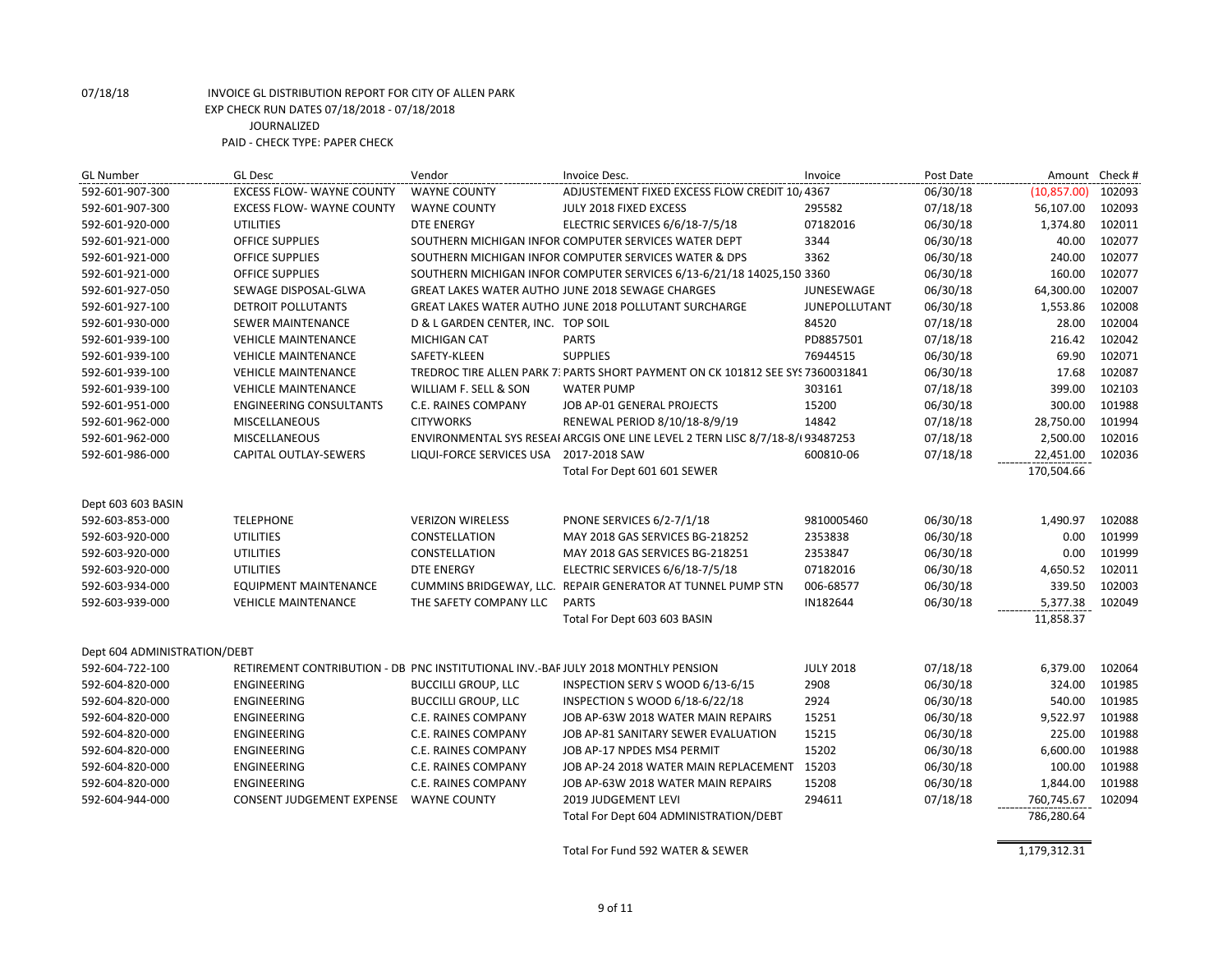| <b>GL Number</b>             | <b>GL Desc</b>                                                                    | Vendor                                 | Invoice Desc.                                                                  | Invoice              | Post Date | Amount Check # |        |
|------------------------------|-----------------------------------------------------------------------------------|----------------------------------------|--------------------------------------------------------------------------------|----------------------|-----------|----------------|--------|
| 592-601-907-300              | <b>EXCESS FLOW- WAYNE COUNTY</b>                                                  | <b>WAYNE COUNTY</b>                    | ADJUSTEMENT FIXED EXCESS FLOW CREDIT 10, 4367                                  |                      | 06/30/18  | (10, 857.00)   | 102093 |
| 592-601-907-300              | <b>EXCESS FLOW- WAYNE COUNTY</b>                                                  | <b>WAYNE COUNTY</b>                    | JULY 2018 FIXED EXCESS                                                         | 295582               | 07/18/18  | 56,107.00      | 102093 |
| 592-601-920-000              | <b>UTILITIES</b>                                                                  | <b>DTE ENERGY</b>                      | ELECTRIC SERVICES 6/6/18-7/5/18                                                | 07182016             | 06/30/18  | 1,374.80       | 102011 |
| 592-601-921-000              | <b>OFFICE SUPPLIES</b>                                                            |                                        | SOUTHERN MICHIGAN INFOR COMPUTER SERVICES WATER DEPT                           | 3344                 | 06/30/18  | 40.00          | 102077 |
| 592-601-921-000              | OFFICE SUPPLIES                                                                   |                                        | SOUTHERN MICHIGAN INFOR COMPUTER SERVICES WATER & DPS                          | 3362                 | 06/30/18  | 240.00         | 102077 |
| 592-601-921-000              | OFFICE SUPPLIES                                                                   |                                        | SOUTHERN MICHIGAN INFOR COMPUTER SERVICES 6/13-6/21/18 14025,150 3360          |                      | 06/30/18  | 160.00         | 102077 |
| 592-601-927-050              | SEWAGE DISPOSAL-GLWA                                                              |                                        | <b>GREAT LAKES WATER AUTHO JUNE 2018 SEWAGE CHARGES</b>                        | JUNESEWAGE           | 06/30/18  | 64,300.00      | 102007 |
| 592-601-927-100              | DETROIT POLLUTANTS                                                                |                                        | GREAT LAKES WATER AUTHO JUNE 2018 POLLUTANT SURCHARGE                          | <b>JUNEPOLLUTANT</b> | 06/30/18  | 1,553.86       | 102008 |
| 592-601-930-000              | SEWER MAINTENANCE                                                                 | D & L GARDEN CENTER, INC. TOP SOIL     |                                                                                | 84520                | 07/18/18  | 28.00          | 102004 |
| 592-601-939-100              | <b>VEHICLE MAINTENANCE</b>                                                        | MICHIGAN CAT                           | <b>PARTS</b>                                                                   | PD8857501            | 07/18/18  | 216.42         | 102042 |
| 592-601-939-100              | <b>VEHICLE MAINTENANCE</b>                                                        | SAFETY-KLEEN                           | <b>SUPPLIES</b>                                                                | 76944515             | 06/30/18  | 69.90          | 102071 |
| 592-601-939-100              | <b>VEHICLE MAINTENANCE</b>                                                        |                                        | TREDROC TIRE ALLEN PARK 7: PARTS SHORT PAYMENT ON CK 101812 SEE SY: 7360031841 |                      | 06/30/18  | 17.68          | 102087 |
| 592-601-939-100              | <b>VEHICLE MAINTENANCE</b>                                                        | WILLIAM F. SELL & SON                  | <b>WATER PUMP</b>                                                              | 303161               | 07/18/18  | 399.00         | 102103 |
| 592-601-951-000              | <b>ENGINEERING CONSULTANTS</b>                                                    | C.E. RAINES COMPANY                    | JOB AP-01 GENERAL PROJECTS                                                     | 15200                | 06/30/18  | 300.00         | 101988 |
| 592-601-962-000              | <b>MISCELLANEOUS</b>                                                              | <b>CITYWORKS</b>                       | RENEWAL PERIOD 8/10/18-8/9/19                                                  | 14842                | 07/18/18  | 28,750.00      | 101994 |
| 592-601-962-000              | <b>MISCELLANEOUS</b>                                                              |                                        | ENVIRONMENTAL SYS RESEAI ARCGIS ONE LINE LEVEL 2 TERN LISC 8/7/18-8/(93487253  |                      | 07/18/18  | 2,500.00       | 102016 |
| 592-601-986-000              | CAPITAL OUTLAY-SEWERS                                                             | LIQUI-FORCE SERVICES USA 2017-2018 SAW |                                                                                | 600810-06            | 07/18/18  | 22,451.00      | 102036 |
|                              |                                                                                   |                                        | Total For Dept 601 601 SEWER                                                   |                      |           | 170,504.66     |        |
| Dept 603 603 BASIN           |                                                                                   |                                        |                                                                                |                      |           |                |        |
| 592-603-853-000              | <b>TELEPHONE</b>                                                                  | <b>VERIZON WIRELESS</b>                | <b>PNONE SERVICES 6/2-7/1/18</b>                                               | 9810005460           | 06/30/18  | 1,490.97       | 102088 |
| 592-603-920-000              | <b>UTILITIES</b>                                                                  | CONSTELLATION                          | MAY 2018 GAS SERVICES BG-218252                                                | 2353838              | 06/30/18  | 0.00           | 101999 |
| 592-603-920-000              | <b>UTILITIES</b>                                                                  | CONSTELLATION                          | MAY 2018 GAS SERVICES BG-218251                                                | 2353847              | 06/30/18  | 0.00           | 101999 |
| 592-603-920-000              | <b>UTILITIES</b>                                                                  | <b>DTE ENERGY</b>                      | ELECTRIC SERVICES 6/6/18-7/5/18                                                | 07182016             | 06/30/18  | 4,650.52       | 102011 |
| 592-603-934-000              | <b>EQUIPMENT MAINTENANCE</b>                                                      |                                        | CUMMINS BRIDGEWAY, LLC. REPAIR GENERATOR AT TUNNEL PUMP STN                    | 006-68577            | 06/30/18  | 339.50         | 102003 |
| 592-603-939-000              | <b>VEHICLE MAINTENANCE</b>                                                        | THE SAFETY COMPANY LLC                 | <b>PARTS</b>                                                                   | IN182644             | 06/30/18  | 5,377.38       | 102049 |
|                              |                                                                                   |                                        | Total For Dept 603 603 BASIN                                                   |                      |           | 11,858.37      |        |
| Dept 604 ADMINISTRATION/DEBT |                                                                                   |                                        |                                                                                |                      |           |                |        |
| 592-604-722-100              | RETIREMENT CONTRIBUTION - DB PNC INSTITUTIONAL INV.-BAF JULY 2018 MONTHLY PENSION |                                        |                                                                                | <b>JULY 2018</b>     | 07/18/18  | 6,379.00       | 102064 |
| 592-604-820-000              | <b>ENGINEERING</b>                                                                | <b>BUCCILLI GROUP, LLC</b>             | INSPECTION SERV S WOOD 6/13-6/15                                               | 2908                 | 06/30/18  | 324.00         | 101985 |
| 592-604-820-000              | <b>ENGINEERING</b>                                                                | <b>BUCCILLI GROUP, LLC</b>             | INSPECTION S WOOD 6/18-6/22/18                                                 | 2924                 | 06/30/18  | 540.00         | 101985 |
| 592-604-820-000              | ENGINEERING                                                                       | C.E. RAINES COMPANY                    | JOB AP-63W 2018 WATER MAIN REPAIRS                                             | 15251                | 06/30/18  | 9,522.97       | 101988 |
| 592-604-820-000              | <b>ENGINEERING</b>                                                                | C.E. RAINES COMPANY                    | JOB AP-81 SANITARY SEWER EVALUATION                                            | 15215                | 06/30/18  | 225.00         | 101988 |
| 592-604-820-000              | <b>ENGINEERING</b>                                                                | C.E. RAINES COMPANY                    | JOB AP-17 NPDES MS4 PERMIT                                                     | 15202                | 06/30/18  | 6,600.00       | 101988 |
| 592-604-820-000              | ENGINEERING                                                                       | C.E. RAINES COMPANY                    | JOB AP-24 2018 WATER MAIN REPLACEMENT 15203                                    |                      | 06/30/18  | 100.00         | 101988 |
| 592-604-820-000              | <b>ENGINEERING</b>                                                                | C.E. RAINES COMPANY                    | JOB AP-63W 2018 WATER MAIN REPAIRS                                             | 15208                | 06/30/18  | 1,844.00       | 101988 |
| 592-604-944-000              | CONSENT JUDGEMENT EXPENSE                                                         | <b>WAYNE COUNTY</b>                    | 2019 JUDGEMENT LEVI                                                            | 294611               | 07/18/18  | 760,745.67     | 102094 |
|                              |                                                                                   |                                        | Total For Dept 604 ADMINISTRATION/DEBT                                         |                      |           | 786,280.64     |        |
|                              |                                                                                   |                                        | Total For Fund 592 WATER & SEWER                                               |                      |           | 1,179,312.31   |        |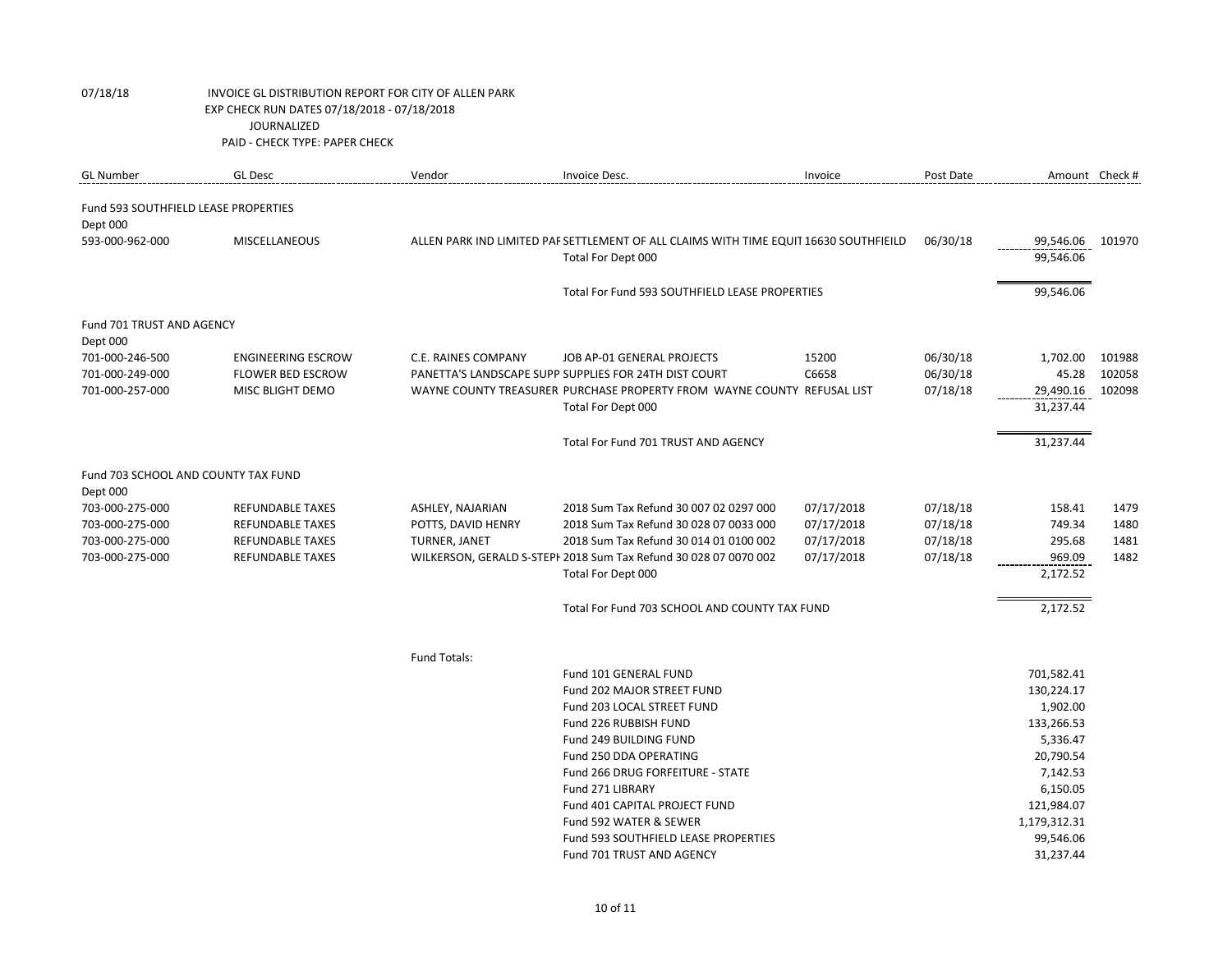| <b>GL Number</b>                                 | <b>GL Desc</b>            | Vendor               | Invoice Desc.                                                                         | Invoice    | Post Date | Amount Check # |        |
|--------------------------------------------------|---------------------------|----------------------|---------------------------------------------------------------------------------------|------------|-----------|----------------|--------|
| Fund 593 SOUTHFIELD LEASE PROPERTIES<br>Dept 000 |                           |                      |                                                                                       |            |           |                |        |
| 593-000-962-000                                  | <b>MISCELLANEOUS</b>      |                      | ALLEN PARK IND LIMITED PAF SETTLEMENT OF ALL CLAIMS WITH TIME EQUIT 16630 SOUTHFIEILD |            | 06/30/18  | 99,546.06      | 101970 |
|                                                  |                           |                      | Total For Dept 000                                                                    |            |           | 99,546.06      |        |
|                                                  |                           |                      | Total For Fund 593 SOUTHFIELD LEASE PROPERTIES                                        |            |           | 99,546.06      |        |
| Fund 701 TRUST AND AGENCY<br>Dept 000            |                           |                      |                                                                                       |            |           |                |        |
| 701-000-246-500                                  | <b>ENGINEERING ESCROW</b> | C.E. RAINES COMPANY  | JOB AP-01 GENERAL PROJECTS                                                            | 15200      | 06/30/18  | 1,702.00       | 101988 |
| 701-000-249-000                                  | <b>FLOWER BED ESCROW</b>  |                      | PANETTA'S LANDSCAPE SUPP SUPPLIES FOR 24TH DIST COURT                                 | C6658      | 06/30/18  | 45.28          | 102058 |
| 701-000-257-000                                  | MISC BLIGHT DEMO          |                      | WAYNE COUNTY TREASURER PURCHASE PROPERTY FROM WAYNE COUNTY REFUSAL LIST               |            | 07/18/18  | 29,490.16      | 102098 |
|                                                  |                           |                      | Total For Dept 000                                                                    |            |           | 31,237.44      |        |
|                                                  |                           |                      | Total For Fund 701 TRUST AND AGENCY                                                   |            |           | 31,237.44      |        |
| Fund 703 SCHOOL AND COUNTY TAX FUND<br>Dept 000  |                           |                      |                                                                                       |            |           |                |        |
| 703-000-275-000                                  | REFUNDABLE TAXES          | ASHLEY, NAJARIAN     | 2018 Sum Tax Refund 30 007 02 0297 000                                                | 07/17/2018 | 07/18/18  | 158.41         | 1479   |
| 703-000-275-000                                  | <b>REFUNDABLE TAXES</b>   | POTTS, DAVID HENRY   | 2018 Sum Tax Refund 30 028 07 0033 000                                                | 07/17/2018 | 07/18/18  | 749.34         | 1480   |
| 703-000-275-000                                  | <b>REFUNDABLE TAXES</b>   | <b>TURNER, JANET</b> | 2018 Sum Tax Refund 30 014 01 0100 002                                                | 07/17/2018 | 07/18/18  | 295.68         | 1481   |
| 703-000-275-000                                  | <b>REFUNDABLE TAXES</b>   |                      | WILKERSON, GERALD S-STEPI 2018 Sum Tax Refund 30 028 07 0070 002                      | 07/17/2018 | 07/18/18  | 969.09         | 1482   |
|                                                  |                           |                      | Total For Dept 000                                                                    |            |           | 2,172.52       |        |
|                                                  |                           |                      | Total For Fund 703 SCHOOL AND COUNTY TAX FUND                                         |            |           | 2,172.52       |        |
|                                                  |                           | Fund Totals:         |                                                                                       |            |           |                |        |
|                                                  |                           |                      | Fund 101 GENERAL FUND                                                                 |            |           | 701,582.41     |        |
|                                                  |                           |                      | Fund 202 MAJOR STREET FUND                                                            |            |           | 130,224.17     |        |
|                                                  |                           |                      | Fund 203 LOCAL STREET FUND                                                            |            |           | 1,902.00       |        |
|                                                  |                           |                      | Fund 226 RUBBISH FUND                                                                 |            |           | 133,266.53     |        |
|                                                  |                           |                      | Fund 249 BUILDING FUND                                                                |            |           | 5,336.47       |        |
|                                                  |                           |                      | Fund 250 DDA OPERATING                                                                |            |           | 20,790.54      |        |
|                                                  |                           |                      | Fund 266 DRUG FORFEITURE - STATE                                                      |            |           | 7,142.53       |        |
|                                                  |                           |                      | Fund 271 LIBRARY                                                                      |            |           | 6,150.05       |        |
|                                                  |                           |                      | Fund 401 CAPITAL PROJECT FUND                                                         |            |           | 121,984.07     |        |
|                                                  |                           |                      | Fund 592 WATER & SEWER                                                                |            |           | 1,179,312.31   |        |
|                                                  |                           |                      | Fund 593 SOUTHFIELD LEASE PROPERTIES                                                  |            |           | 99,546.06      |        |
|                                                  |                           |                      | Fund 701 TRUST AND AGENCY                                                             |            |           | 31,237.44      |        |